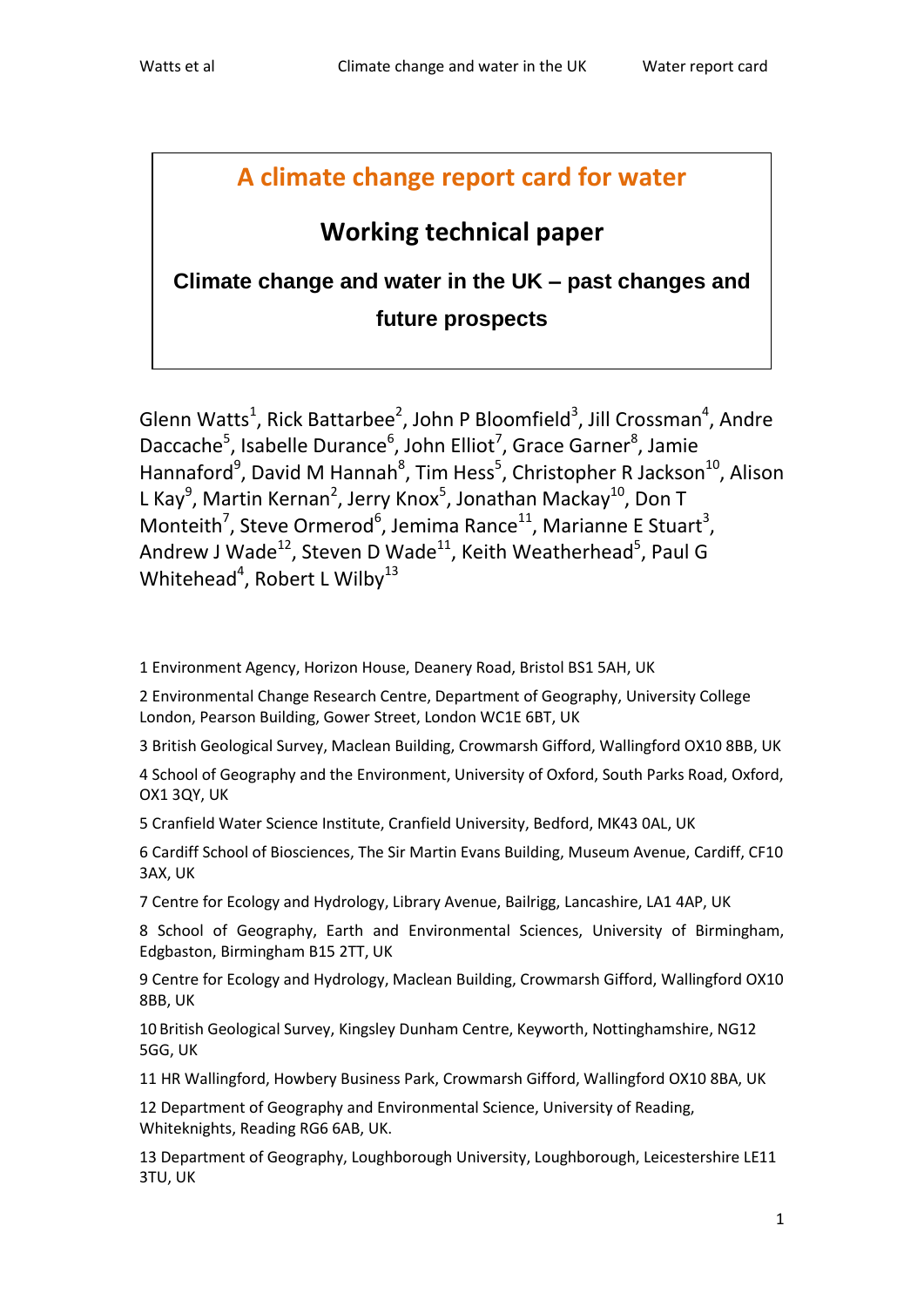# **A climate change report card for water**

# **Working technical paper**

**Climate change and water in the UK – past changes and future prospects**

Glenn Watts<sup>1</sup>, Rick Battarbee<sup>2</sup>, John P Bloomfield<sup>3</sup>, Jill Crossman<sup>4</sup>, Andre Daccache<sup>5</sup>, Isabelle Durance<sup>6</sup>, John Elliot<sup>7</sup>, Grace Garner<sup>8</sup>, Jamie Hannaford<sup>9</sup>, David M Hannah<sup>8</sup>, Tim Hess<sup>5</sup>, Christopher R Jackson<sup>10</sup>, Alison L Kay<sup>9</sup>, Martin Kernan<sup>2</sup>, Jerry Knox<sup>5</sup>, Jonathan Mackay<sup>10</sup>, Don T Monteith<sup>7</sup>, Steve Ormerod<sup>6</sup>, Jemima Rance<sup>11</sup>, Marianne E Stuart<sup>3</sup>, Andrew J Wade<sup>12</sup>, Steven D Wade<sup>11</sup>, Keith Weatherhead<sup>5</sup>, Paul G Whitehead<sup>4</sup>, Robert L Wilby<sup>13</sup>

1 Environment Agency, Horizon House, Deanery Road, Bristol BS1 5AH, UK

2 Environmental Change Research Centre, Department of Geography, University College London, Pearson Building, Gower Street, London WC1E 6BT, UK

3 British Geological Survey, Maclean Building, Crowmarsh Gifford, Wallingford OX10 8BB, UK

4 School of Geography and the Environment, University of Oxford, South Parks Road, Oxford, OX1 3QY, UK

5 Cranfield Water Science Institute, Cranfield University, Bedford, MK43 0AL, UK

6 Cardiff School of Biosciences, The Sir Martin Evans Building, Museum Avenue, Cardiff, CF10 3AX, UK

7 Centre for Ecology and Hydrology, Library Avenue, Bailrigg, Lancashire, LA1 4AP, UK

8 School of Geography, Earth and Environmental Sciences, University of Birmingham, Edgbaston, Birmingham B15 2TT, UK

9 Centre for Ecology and Hydrology, Maclean Building, Crowmarsh Gifford, Wallingford OX10 8BB, UK

10 British Geological Survey, Kingsley Dunham Centre, Keyworth, Nottinghamshire, NG12 5GG, UK

11 HR Wallingford, Howbery Business Park, Crowmarsh Gifford, Wallingford OX10 8BA, UK

12 Department of Geography and Environmental Science, University of Reading, Whiteknights, Reading RG6 6AB, UK.

13 Department of Geography, Loughborough University, Loughborough, Leicestershire LE11 3TU, UK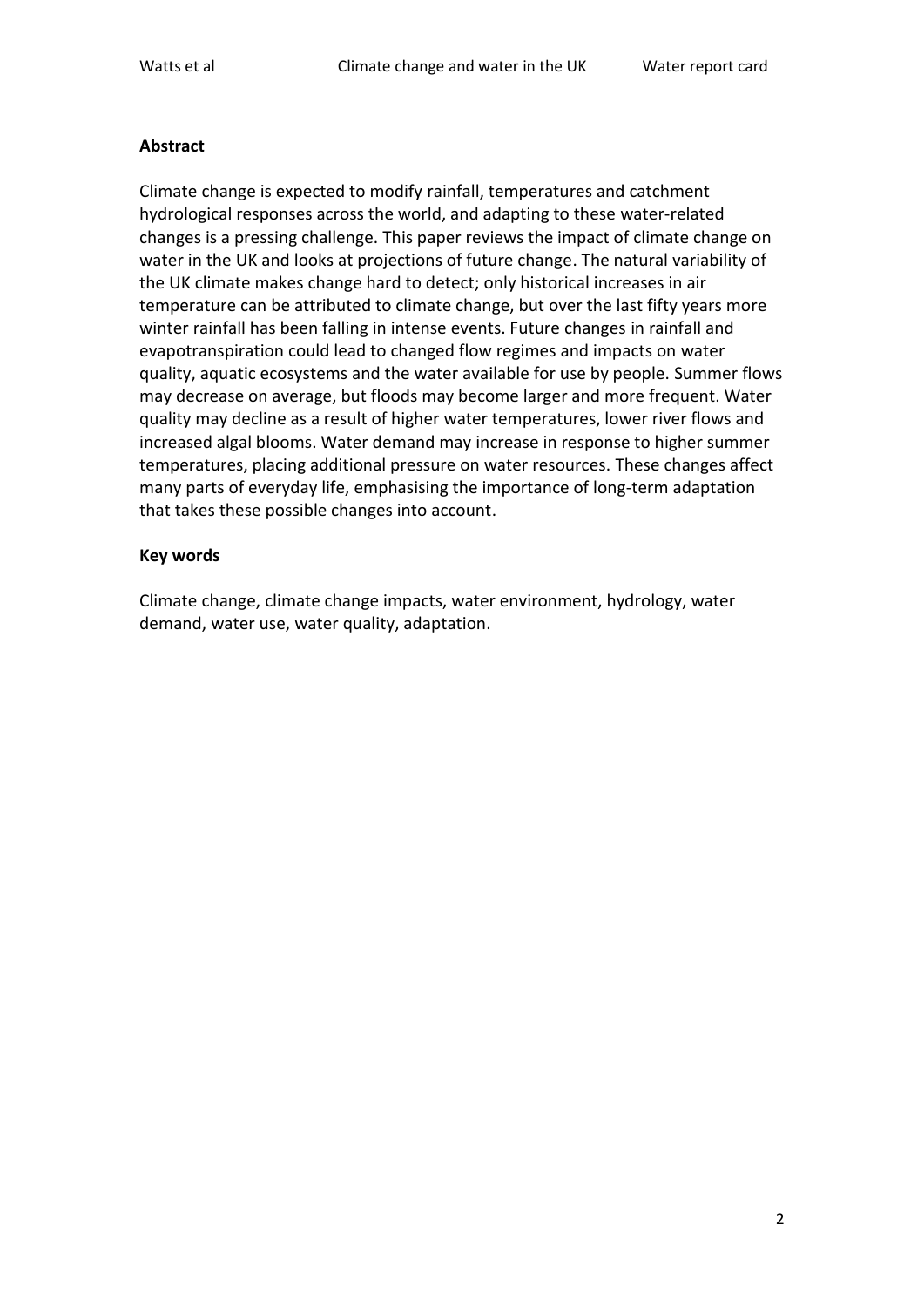#### **Abstract**

Climate change is expected to modify rainfall, temperatures and catchment hydrological responses across the world, and adapting to these water-related changes is a pressing challenge. This paper reviews the impact of climate change on water in the UK and looks at projections of future change. The natural variability of the UK climate makes change hard to detect; only historical increases in air temperature can be attributed to climate change, but over the last fifty years more winter rainfall has been falling in intense events. Future changes in rainfall and evapotranspiration could lead to changed flow regimes and impacts on water quality, aquatic ecosystems and the water available for use by people. Summer flows may decrease on average, but floods may become larger and more frequent. Water quality may decline as a result of higher water temperatures, lower river flows and increased algal blooms. Water demand may increase in response to higher summer temperatures, placing additional pressure on water resources. These changes affect many parts of everyday life, emphasising the importance of long-term adaptation that takes these possible changes into account.

#### **Key words**

Climate change, climate change impacts, water environment, hydrology, water demand, water use, water quality, adaptation.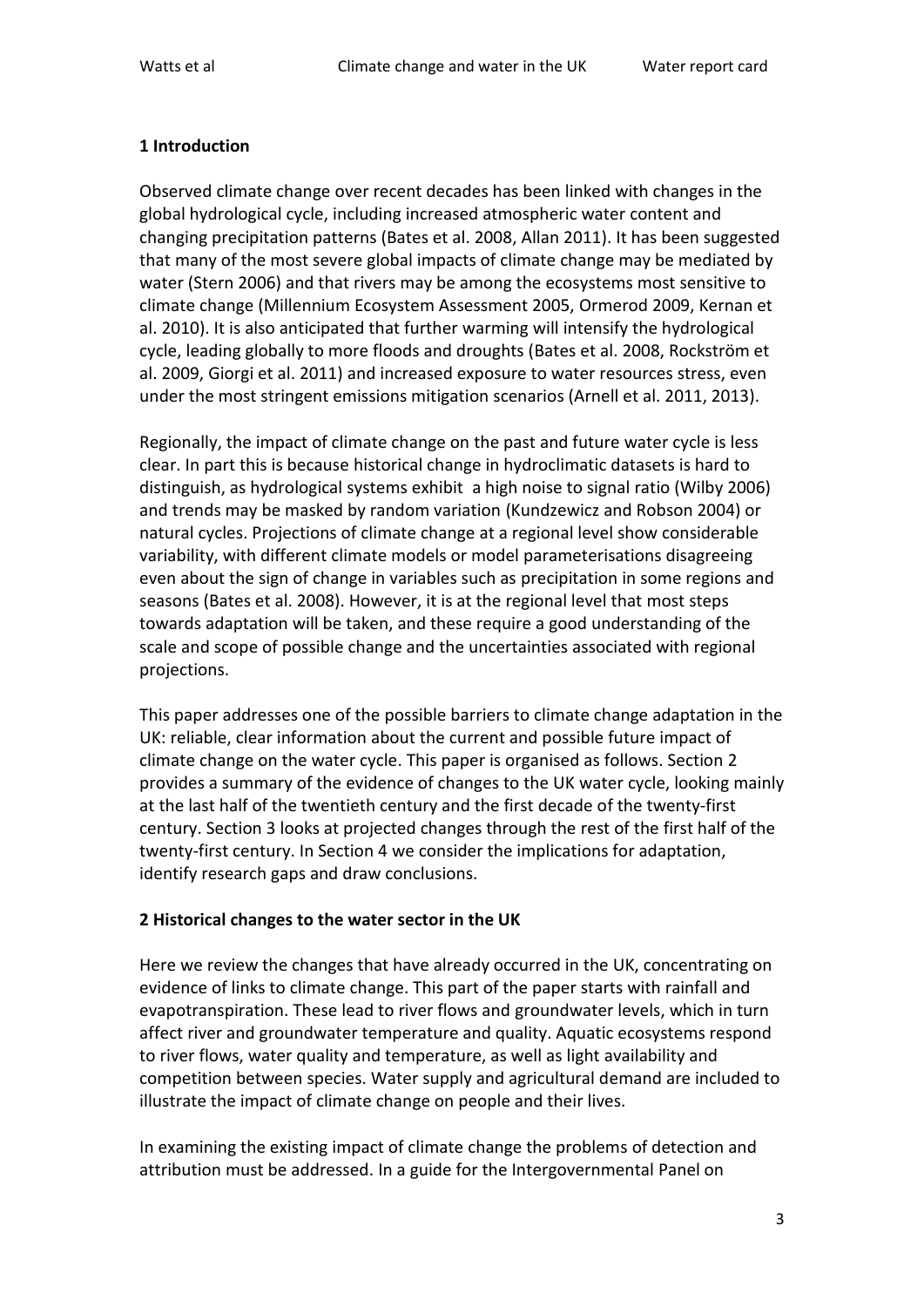## **1 Introduction**

Observed climate change over recent decades has been linked with changes in the global hydrological cycle, including increased atmospheric water content and changing precipitation patterns (Bates et al. 2008, Allan 2011). It has been suggested that many of the most severe global impacts of climate change may be mediated by water (Stern 2006) and that rivers may be among the ecosystems most sensitive to climate change (Millennium Ecosystem Assessment 2005, Ormerod 2009, Kernan et al. 2010). It is also anticipated that further warming will intensify the hydrological cycle, leading globally to more floods and droughts (Bates et al. 2008, Rockström et al. 2009, Giorgi et al. 2011) and increased exposure to water resources stress, even under the most stringent emissions mitigation scenarios (Arnell et al. 2011, 2013).

Regionally, the impact of climate change on the past and future water cycle is less clear. In part this is because historical change in hydroclimatic datasets is hard to distinguish, as hydrological systems exhibit a high noise to signal ratio (Wilby 2006) and trends may be masked by random variation (Kundzewicz and Robson 2004) or natural cycles. Projections of climate change at a regional level show considerable variability, with different climate models or model parameterisations disagreeing even about the sign of change in variables such as precipitation in some regions and seasons (Bates et al. 2008). However, it is at the regional level that most steps towards adaptation will be taken, and these require a good understanding of the scale and scope of possible change and the uncertainties associated with regional projections.

This paper addresses one of the possible barriers to climate change adaptation in the UK: reliable, clear information about the current and possible future impact of climate change on the water cycle. This paper is organised as follows. Section 2 provides a summary of the evidence of changes to the UK water cycle, looking mainly at the last half of the twentieth century and the first decade of the twenty-first century. Section 3 looks at projected changes through the rest of the first half of the twenty-first century. In Section 4 we consider the implications for adaptation, identify research gaps and draw conclusions.

## **2 Historical changes to the water sector in the UK**

Here we review the changes that have already occurred in the UK, concentrating on evidence of links to climate change. This part of the paper starts with rainfall and evapotranspiration. These lead to river flows and groundwater levels, which in turn affect river and groundwater temperature and quality. Aquatic ecosystems respond to river flows, water quality and temperature, as well as light availability and competition between species. Water supply and agricultural demand are included to illustrate the impact of climate change on people and their lives.

In examining the existing impact of climate change the problems of detection and attribution must be addressed. In a guide for the Intergovernmental Panel on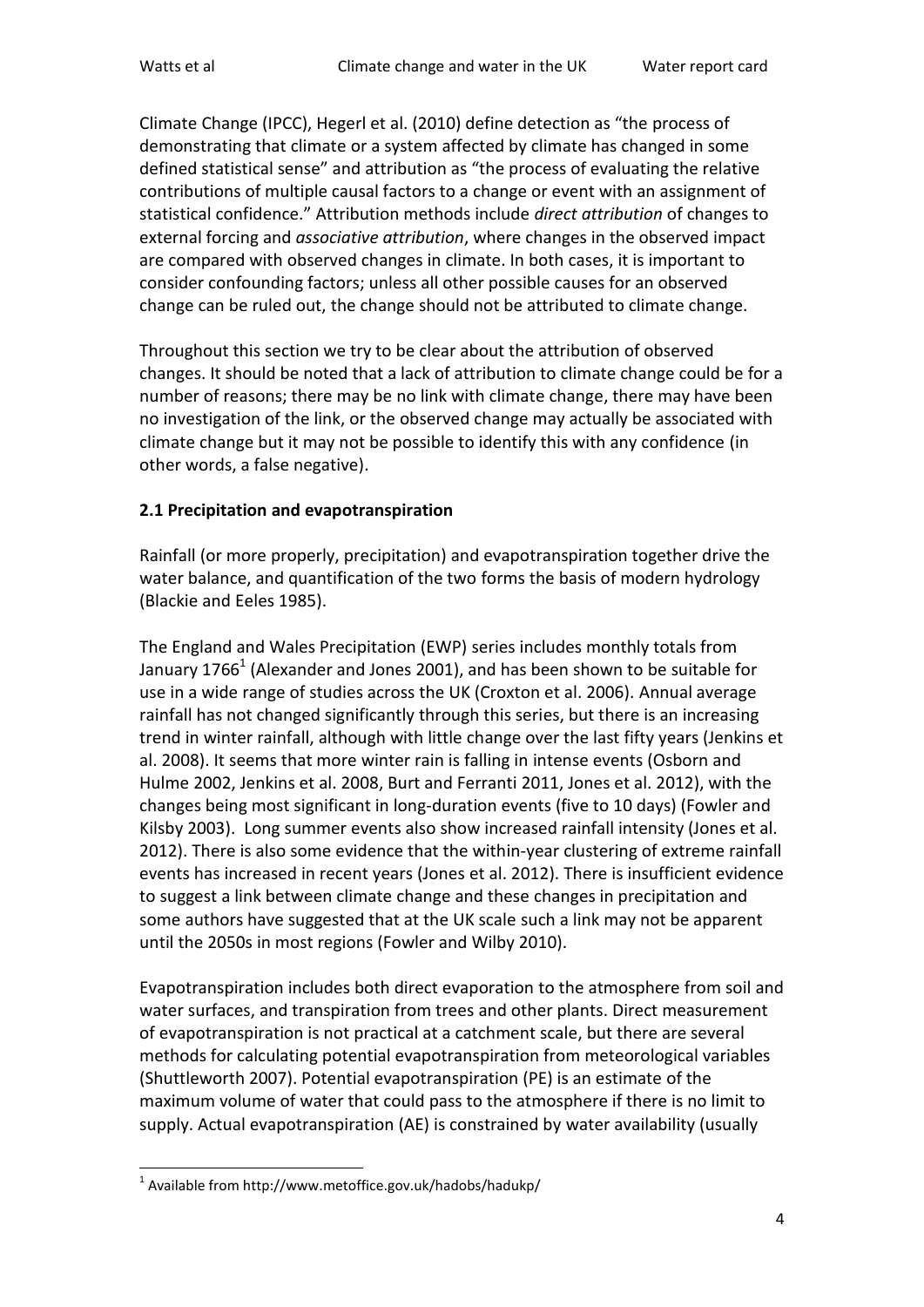Climate Change (IPCC), Hegerl et al. (2010) define detection as "the process of demonstrating that climate or a system affected by climate has changed in some defined statistical sense" and attribution as "the process of evaluating the relative contributions of multiple causal factors to a change or event with an assignment of statistical confidence." Attribution methods include *direct attribution* of changes to external forcing and *associative attribution*, where changes in the observed impact are compared with observed changes in climate. In both cases, it is important to consider confounding factors; unless all other possible causes for an observed change can be ruled out, the change should not be attributed to climate change.

Throughout this section we try to be clear about the attribution of observed changes. It should be noted that a lack of attribution to climate change could be for a number of reasons; there may be no link with climate change, there may have been no investigation of the link, or the observed change may actually be associated with climate change but it may not be possible to identify this with any confidence (in other words, a false negative).

## **2.1 Precipitation and evapotranspiration**

Rainfall (or more properly, precipitation) and evapotranspiration together drive the water balance, and quantification of the two forms the basis of modern hydrology (Blackie and Eeles 1985).

The England and Wales Precipitation (EWP) series includes monthly totals from January 1766<sup>1</sup> (Alexander and Jones 2001), and has been shown to be suitable for use in a wide range of studies across the UK (Croxton et al. 2006). Annual average rainfall has not changed significantly through this series, but there is an increasing trend in winter rainfall, although with little change over the last fifty years (Jenkins et al. 2008). It seems that more winter rain is falling in intense events (Osborn and Hulme 2002, Jenkins et al. 2008, Burt and Ferranti 2011, Jones et al. 2012), with the changes being most significant in long-duration events (five to 10 days) (Fowler and Kilsby 2003). Long summer events also show increased rainfall intensity (Jones et al. 2012). There is also some evidence that the within-year clustering of extreme rainfall events has increased in recent years (Jones et al. 2012). There is insufficient evidence to suggest a link between climate change and these changes in precipitation and some authors have suggested that at the UK scale such a link may not be apparent until the 2050s in most regions (Fowler and Wilby 2010).

Evapotranspiration includes both direct evaporation to the atmosphere from soil and water surfaces, and transpiration from trees and other plants. Direct measurement of evapotranspiration is not practical at a catchment scale, but there are several methods for calculating potential evapotranspiration from meteorological variables (Shuttleworth 2007). Potential evapotranspiration (PE) is an estimate of the maximum volume of water that could pass to the atmosphere if there is no limit to supply. Actual evapotranspiration (AE) is constrained by water availability (usually

l <sup>1</sup> Available from http://www.metoffice.gov.uk/hadobs/hadukp/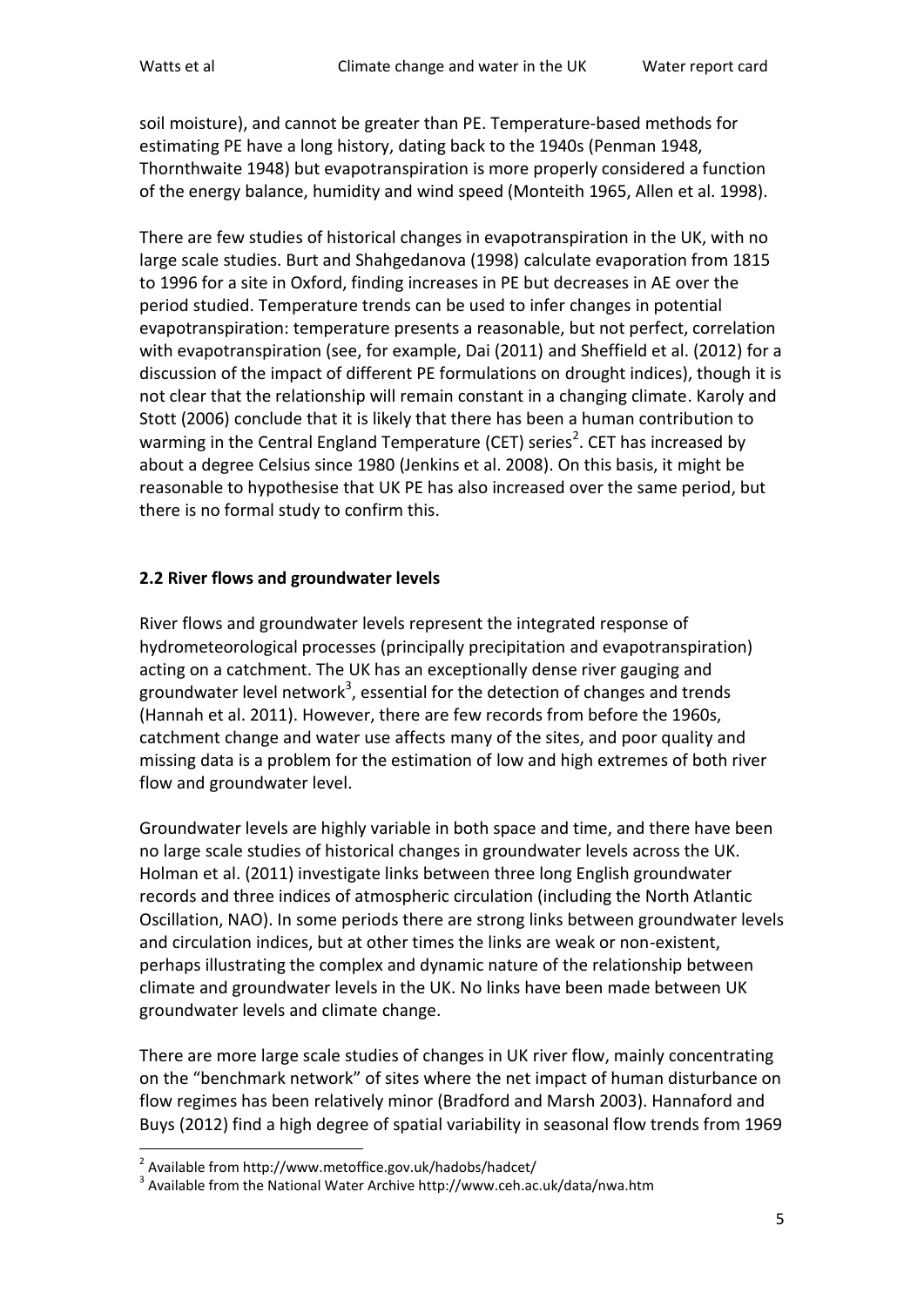soil moisture), and cannot be greater than PE. Temperature-based methods for estimating PE have a long history, dating back to the 1940s (Penman 1948, Thornthwaite 1948) but evapotranspiration is more properly considered a function of the energy balance, humidity and wind speed (Monteith 1965, Allen et al. 1998).

There are few studies of historical changes in evapotranspiration in the UK, with no large scale studies. Burt and Shahgedanova (1998) calculate evaporation from 1815 to 1996 for a site in Oxford, finding increases in PE but decreases in AE over the period studied. Temperature trends can be used to infer changes in potential evapotranspiration: temperature presents a reasonable, but not perfect, correlation with evapotranspiration (see, for example, Dai (2011) and Sheffield et al. (2012) for a discussion of the impact of different PE formulations on drought indices), though it is not clear that the relationship will remain constant in a changing climate. Karoly and Stott (2006) conclude that it is likely that there has been a human contribution to warming in the Central England Temperature (CET) series<sup>2</sup>. CET has increased by about a degree Celsius since 1980 (Jenkins et al. 2008). On this basis, it might be reasonable to hypothesise that UK PE has also increased over the same period, but there is no formal study to confirm this.

## **2.2 River flows and groundwater levels**

River flows and groundwater levels represent the integrated response of hydrometeorological processes (principally precipitation and evapotranspiration) acting on a catchment. The UK has an exceptionally dense river gauging and groundwater level network<sup>3</sup>, essential for the detection of changes and trends (Hannah et al. 2011). However, there are few records from before the 1960s, catchment change and water use affects many of the sites, and poor quality and missing data is a problem for the estimation of low and high extremes of both river flow and groundwater level.

Groundwater levels are highly variable in both space and time, and there have been no large scale studies of historical changes in groundwater levels across the UK. Holman et al. (2011) investigate links between three long English groundwater records and three indices of atmospheric circulation (including the North Atlantic Oscillation, NAO). In some periods there are strong links between groundwater levels and circulation indices, but at other times the links are weak or non-existent, perhaps illustrating the complex and dynamic nature of the relationship between climate and groundwater levels in the UK. No links have been made between UK groundwater levels and climate change.

There are more large scale studies of changes in UK river flow, mainly concentrating on the "benchmark network" of sites where the net impact of human disturbance on flow regimes has been relatively minor (Bradford and Marsh 2003). Hannaford and Buys (2012) find a high degree of spatial variability in seasonal flow trends from 1969

 2 Available from http://www.metoffice.gov.uk/hadobs/hadcet/

 $3$  Available from the National Water Archive http://www.ceh.ac.uk/data/nwa.htm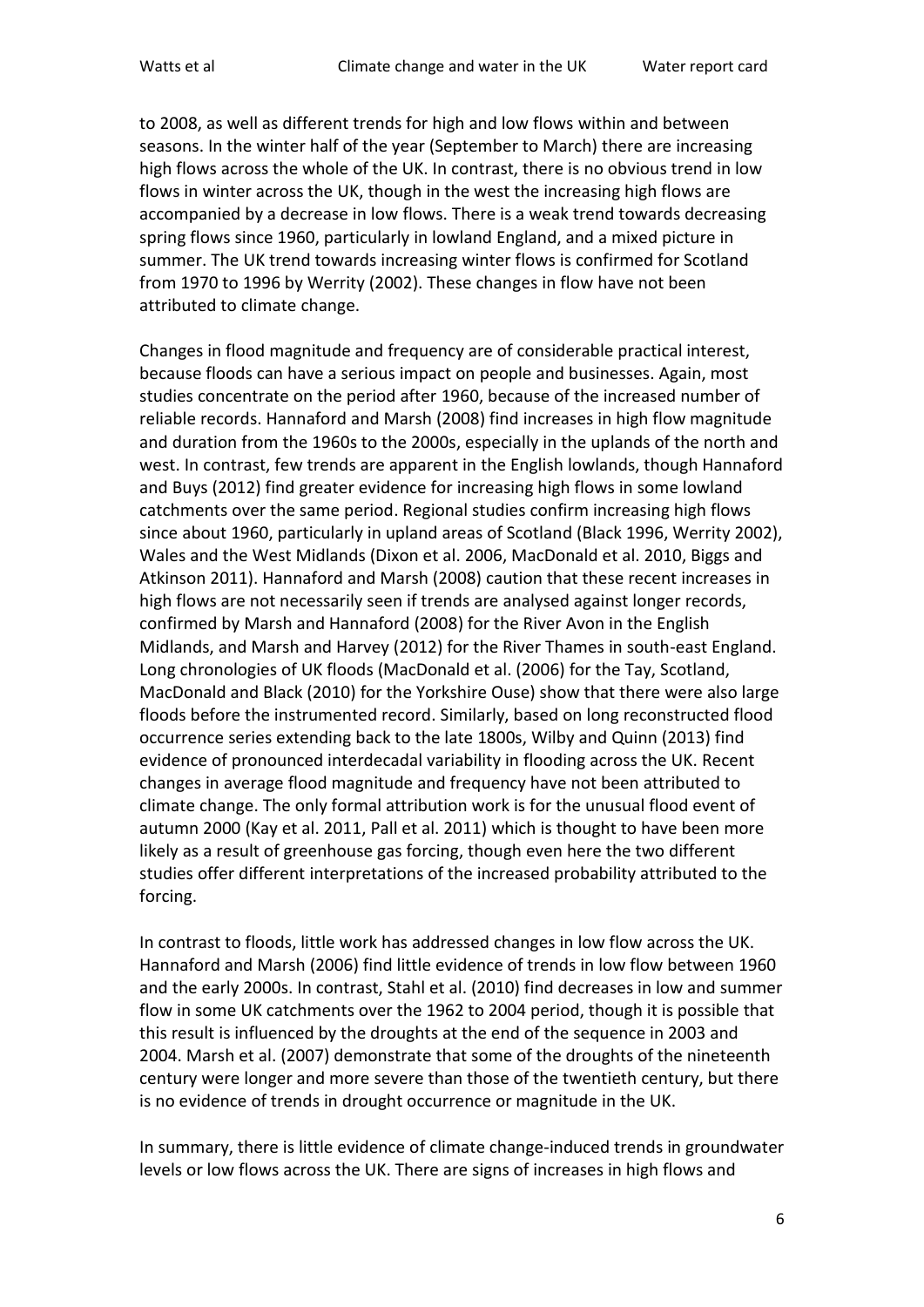to 2008, as well as different trends for high and low flows within and between seasons. In the winter half of the year (September to March) there are increasing high flows across the whole of the UK. In contrast, there is no obvious trend in low flows in winter across the UK, though in the west the increasing high flows are accompanied by a decrease in low flows. There is a weak trend towards decreasing spring flows since 1960, particularly in lowland England, and a mixed picture in summer. The UK trend towards increasing winter flows is confirmed for Scotland from 1970 to 1996 by Werrity (2002). These changes in flow have not been attributed to climate change.

Changes in flood magnitude and frequency are of considerable practical interest, because floods can have a serious impact on people and businesses. Again, most studies concentrate on the period after 1960, because of the increased number of reliable records. Hannaford and Marsh (2008) find increases in high flow magnitude and duration from the 1960s to the 2000s, especially in the uplands of the north and west. In contrast, few trends are apparent in the English lowlands, though Hannaford and Buys (2012) find greater evidence for increasing high flows in some lowland catchments over the same period. Regional studies confirm increasing high flows since about 1960, particularly in upland areas of Scotland (Black 1996, Werrity 2002), Wales and the West Midlands (Dixon et al. 2006, MacDonald et al. 2010, Biggs and Atkinson 2011). Hannaford and Marsh (2008) caution that these recent increases in high flows are not necessarily seen if trends are analysed against longer records, confirmed by Marsh and Hannaford (2008) for the River Avon in the English Midlands, and Marsh and Harvey (2012) for the River Thames in south-east England. Long chronologies of UK floods (MacDonald et al. (2006) for the Tay, Scotland, MacDonald and Black (2010) for the Yorkshire Ouse) show that there were also large floods before the instrumented record. Similarly, based on long reconstructed flood occurrence series extending back to the late 1800s, Wilby and Quinn (2013) find evidence of pronounced interdecadal variability in flooding across the UK. Recent changes in average flood magnitude and frequency have not been attributed to climate change. The only formal attribution work is for the unusual flood event of autumn 2000 (Kay et al. 2011, Pall et al. 2011) which is thought to have been more likely as a result of greenhouse gas forcing, though even here the two different studies offer different interpretations of the increased probability attributed to the forcing.

In contrast to floods, little work has addressed changes in low flow across the UK. Hannaford and Marsh (2006) find little evidence of trends in low flow between 1960 and the early 2000s. In contrast, Stahl et al. (2010) find decreases in low and summer flow in some UK catchments over the 1962 to 2004 period, though it is possible that this result is influenced by the droughts at the end of the sequence in 2003 and 2004. Marsh et al. (2007) demonstrate that some of the droughts of the nineteenth century were longer and more severe than those of the twentieth century, but there is no evidence of trends in drought occurrence or magnitude in the UK.

In summary, there is little evidence of climate change-induced trends in groundwater levels or low flows across the UK. There are signs of increases in high flows and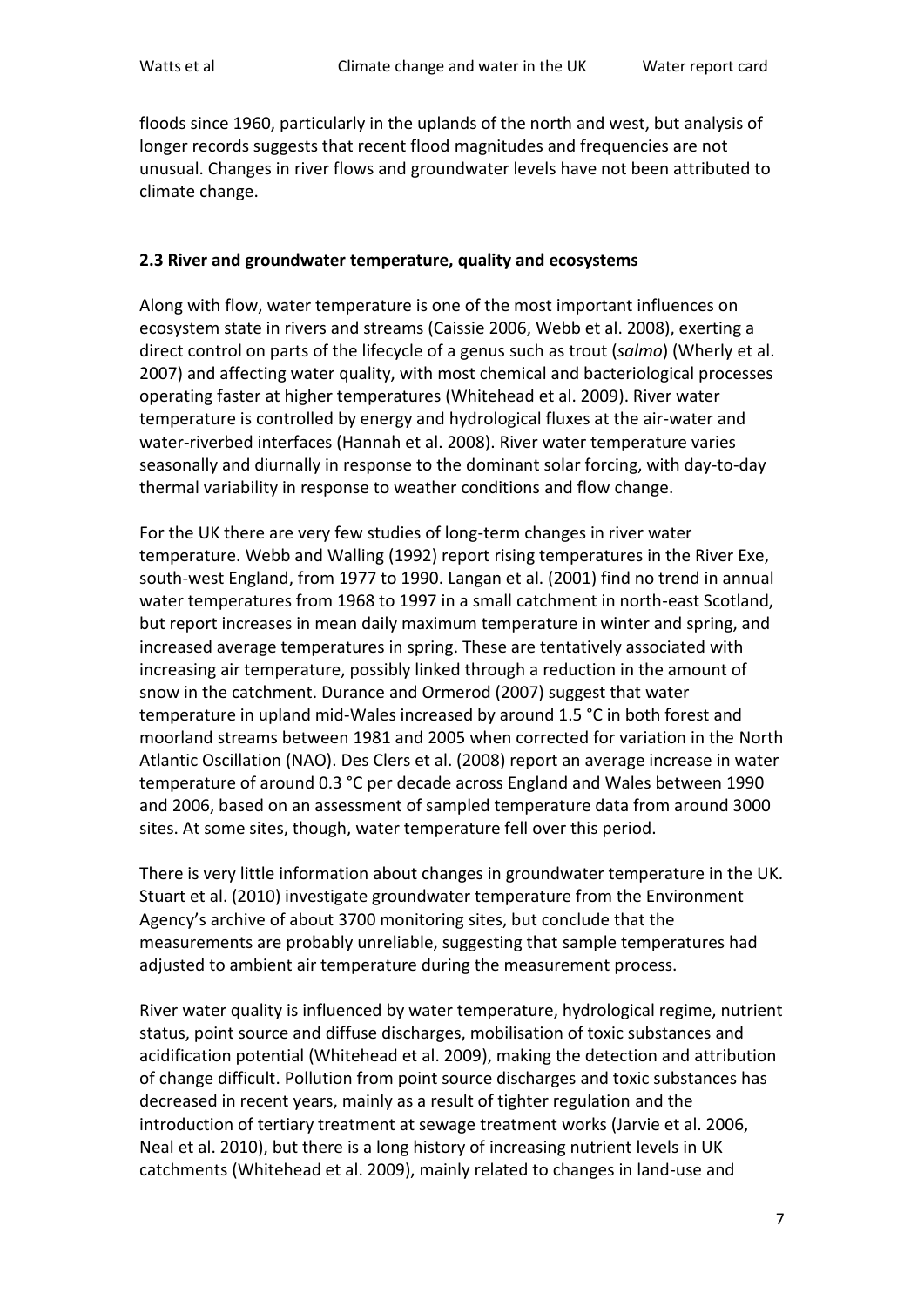floods since 1960, particularly in the uplands of the north and west, but analysis of longer records suggests that recent flood magnitudes and frequencies are not unusual. Changes in river flows and groundwater levels have not been attributed to climate change.

#### **2.3 River and groundwater temperature, quality and ecosystems**

Along with flow, water temperature is one of the most important influences on ecosystem state in rivers and streams (Caissie 2006, Webb et al. 2008), exerting a direct control on parts of the lifecycle of a genus such as trout (*salmo*) (Wherly et al. 2007) and affecting water quality, with most chemical and bacteriological processes operating faster at higher temperatures (Whitehead et al. 2009). River water temperature is controlled by energy and hydrological fluxes at the air-water and water-riverbed interfaces (Hannah et al. 2008). River water temperature varies seasonally and diurnally in response to the dominant solar forcing, with day-to-day thermal variability in response to weather conditions and flow change.

For the UK there are very few studies of long-term changes in river water temperature. Webb and Walling (1992) report rising temperatures in the River Exe, south-west England, from 1977 to 1990. Langan et al. (2001) find no trend in annual water temperatures from 1968 to 1997 in a small catchment in north-east Scotland, but report increases in mean daily maximum temperature in winter and spring, and increased average temperatures in spring. These are tentatively associated with increasing air temperature, possibly linked through a reduction in the amount of snow in the catchment. Durance and Ormerod (2007) suggest that water temperature in upland mid-Wales increased by around 1.5 °C in both forest and moorland streams between 1981 and 2005 when corrected for variation in the North Atlantic Oscillation (NAO). Des Clers et al. (2008) report an average increase in water temperature of around 0.3 °C per decade across England and Wales between 1990 and 2006, based on an assessment of sampled temperature data from around 3000 sites. At some sites, though, water temperature fell over this period.

There is very little information about changes in groundwater temperature in the UK. Stuart et al. (2010) investigate groundwater temperature from the Environment Agency's archive of about 3700 monitoring sites, but conclude that the measurements are probably unreliable, suggesting that sample temperatures had adjusted to ambient air temperature during the measurement process.

River water quality is influenced by water temperature, hydrological regime, nutrient status, point source and diffuse discharges, mobilisation of toxic substances and acidification potential (Whitehead et al. 2009), making the detection and attribution of change difficult. Pollution from point source discharges and toxic substances has decreased in recent years, mainly as a result of tighter regulation and the introduction of tertiary treatment at sewage treatment works (Jarvie et al. 2006, Neal et al. 2010), but there is a long history of increasing nutrient levels in UK catchments (Whitehead et al. 2009), mainly related to changes in land-use and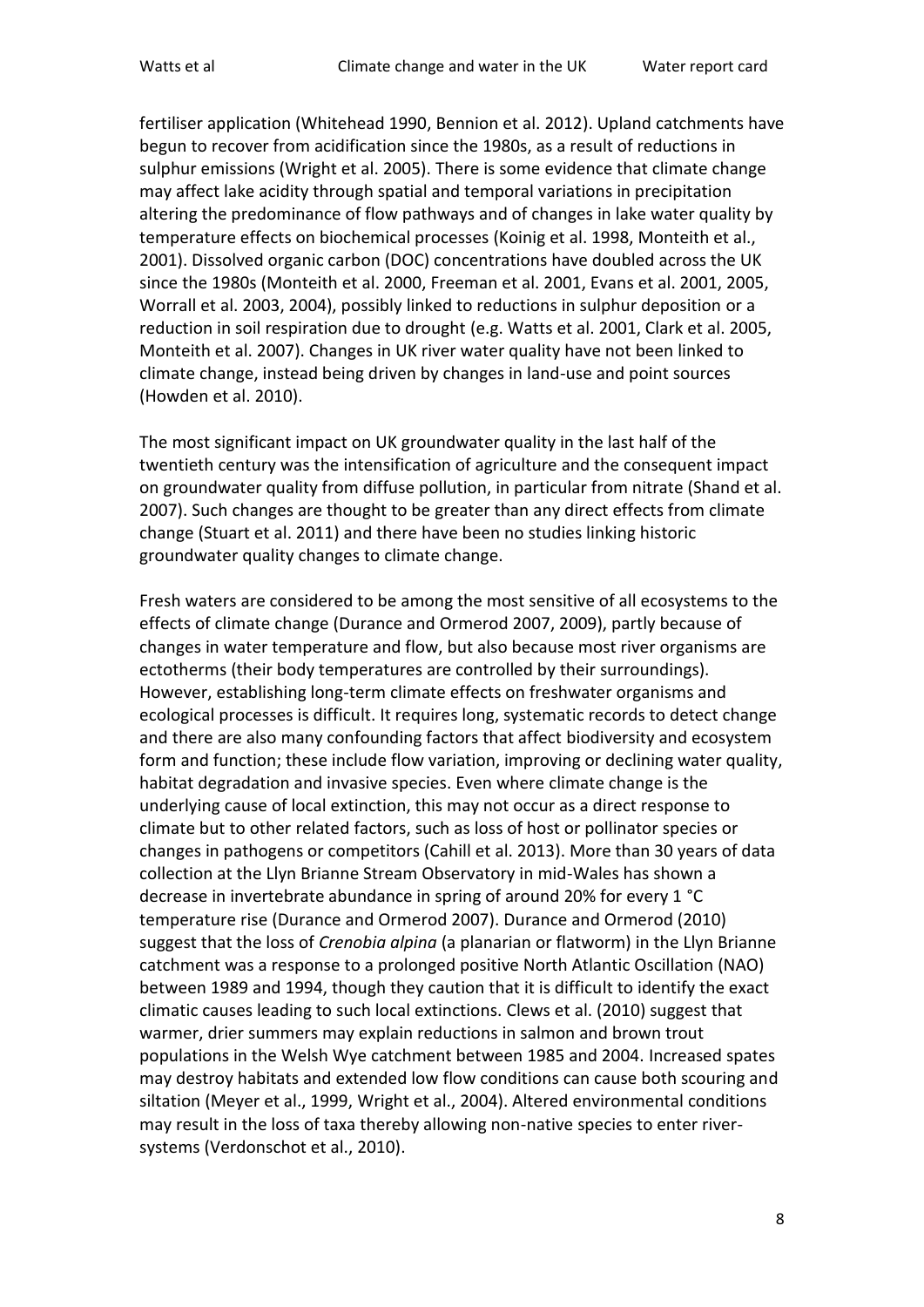fertiliser application (Whitehead 1990, Bennion et al. 2012). Upland catchments have begun to recover from acidification since the 1980s, as a result of reductions in sulphur emissions (Wright et al. 2005). There is some evidence that climate change may affect lake acidity through spatial and temporal variations in precipitation altering the predominance of flow pathways and of changes in lake water quality by temperature effects on biochemical processes (Koinig et al. 1998, Monteith et al., 2001). Dissolved organic carbon (DOC) concentrations have doubled across the UK since the 1980s (Monteith et al. 2000, Freeman et al. 2001, Evans et al. 2001, 2005, Worrall et al. 2003, 2004), possibly linked to reductions in sulphur deposition or a reduction in soil respiration due to drought (e.g. Watts et al. 2001, Clark et al. 2005, Monteith et al. 2007). Changes in UK river water quality have not been linked to climate change, instead being driven by changes in land-use and point sources (Howden et al. 2010).

The most significant impact on UK groundwater quality in the last half of the twentieth century was the intensification of agriculture and the consequent impact on groundwater quality from diffuse pollution, in particular from nitrate (Shand et al. 2007). Such changes are thought to be greater than any direct effects from climate change (Stuart et al. 2011) and there have been no studies linking historic groundwater quality changes to climate change.

Fresh waters are considered to be among the most sensitive of all ecosystems to the effects of climate change (Durance and Ormerod 2007, 2009), partly because of changes in water temperature and flow, but also because most river organisms are ectotherms (their body temperatures are controlled by their surroundings). However, establishing long-term climate effects on freshwater organisms and ecological processes is difficult. It requires long, systematic records to detect change and there are also many confounding factors that affect biodiversity and ecosystem form and function; these include flow variation, improving or declining water quality, habitat degradation and invasive species. Even where climate change is the underlying cause of local extinction, this may not occur as a direct response to climate but to other related factors, such as loss of host or pollinator species or changes in pathogens or competitors (Cahill et al. 2013). More than 30 years of data collection at the Llyn Brianne Stream Observatory in mid-Wales has shown a decrease in invertebrate abundance in spring of around 20% for every 1 °C temperature rise (Durance and Ormerod 2007). Durance and Ormerod (2010) suggest that the loss of *Crenobia alpina* (a planarian or flatworm) in the Llyn Brianne catchment was a response to a prolonged positive North Atlantic Oscillation (NAO) between 1989 and 1994, though they caution that it is difficult to identify the exact climatic causes leading to such local extinctions. Clews et al. (2010) suggest that warmer, drier summers may explain reductions in salmon and brown trout populations in the Welsh Wye catchment between 1985 and 2004. Increased spates may destroy habitats and extended low flow conditions can cause both scouring and siltation (Meyer et al., 1999, Wright et al., 2004). Altered environmental conditions may result in the loss of taxa thereby allowing non-native species to enter riversystems (Verdonschot et al., 2010).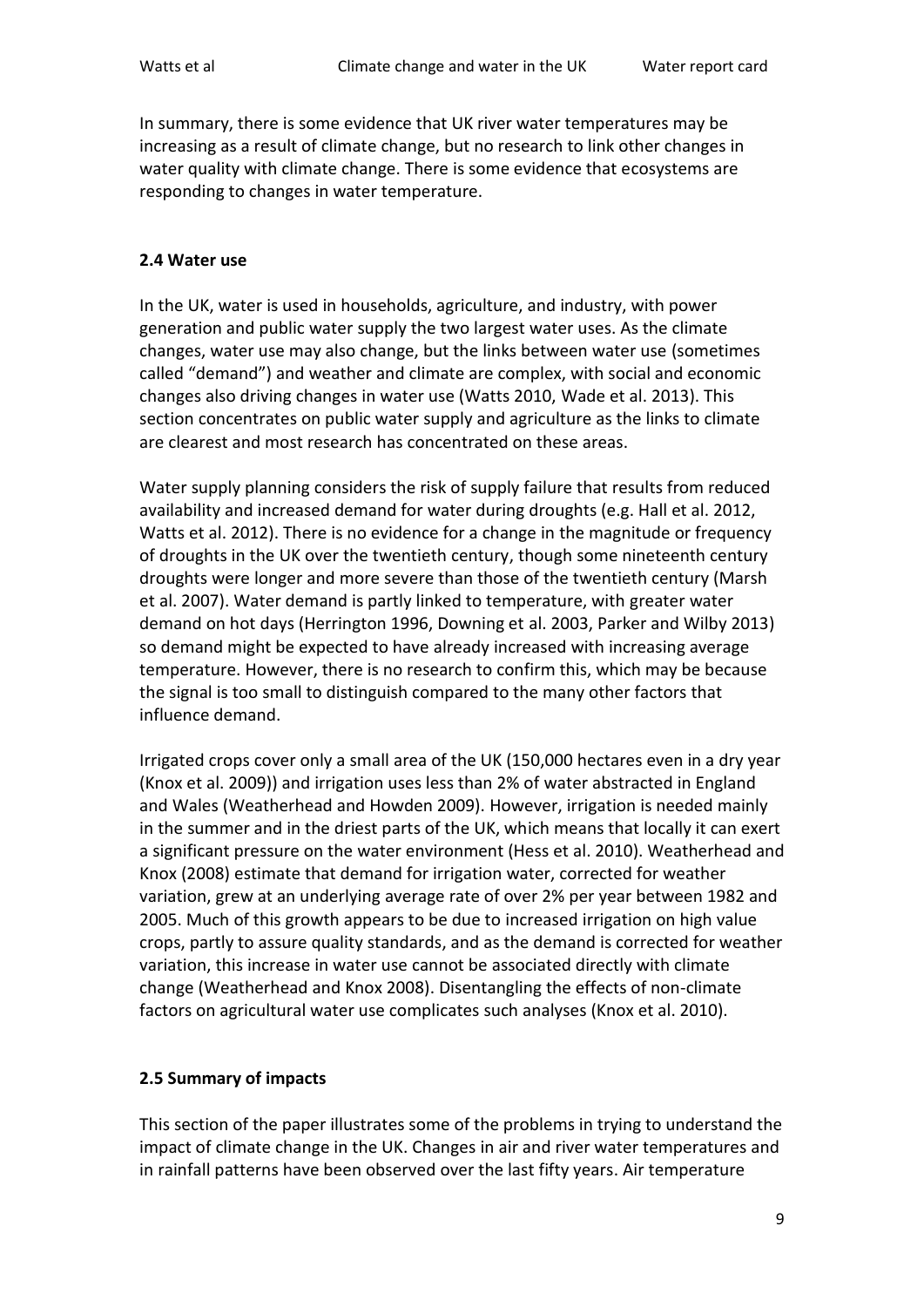In summary, there is some evidence that UK river water temperatures may be increasing as a result of climate change, but no research to link other changes in water quality with climate change. There is some evidence that ecosystems are responding to changes in water temperature.

#### **2.4 Water use**

In the UK, water is used in households, agriculture, and industry, with power generation and public water supply the two largest water uses. As the climate changes, water use may also change, but the links between water use (sometimes called "demand") and weather and climate are complex, with social and economic changes also driving changes in water use (Watts 2010, Wade et al. 2013). This section concentrates on public water supply and agriculture as the links to climate are clearest and most research has concentrated on these areas.

Water supply planning considers the risk of supply failure that results from reduced availability and increased demand for water during droughts (e.g. Hall et al. 2012, Watts et al. 2012). There is no evidence for a change in the magnitude or frequency of droughts in the UK over the twentieth century, though some nineteenth century droughts were longer and more severe than those of the twentieth century (Marsh et al. 2007). Water demand is partly linked to temperature, with greater water demand on hot days (Herrington 1996, Downing et al. 2003, Parker and Wilby 2013) so demand might be expected to have already increased with increasing average temperature. However, there is no research to confirm this, which may be because the signal is too small to distinguish compared to the many other factors that influence demand.

Irrigated crops cover only a small area of the UK (150,000 hectares even in a dry year (Knox et al. 2009)) and irrigation uses less than 2% of water abstracted in England and Wales (Weatherhead and Howden 2009). However, irrigation is needed mainly in the summer and in the driest parts of the UK, which means that locally it can exert a significant pressure on the water environment (Hess et al. 2010). Weatherhead and Knox (2008) estimate that demand for irrigation water, corrected for weather variation, grew at an underlying average rate of over 2% per year between 1982 and 2005. Much of this growth appears to be due to increased irrigation on high value crops, partly to assure quality standards, and as the demand is corrected for weather variation, this increase in water use cannot be associated directly with climate change (Weatherhead and Knox 2008). Disentangling the effects of non-climate factors on agricultural water use complicates such analyses (Knox et al. 2010).

## **2.5 Summary of impacts**

This section of the paper illustrates some of the problems in trying to understand the impact of climate change in the UK. Changes in air and river water temperatures and in rainfall patterns have been observed over the last fifty years. Air temperature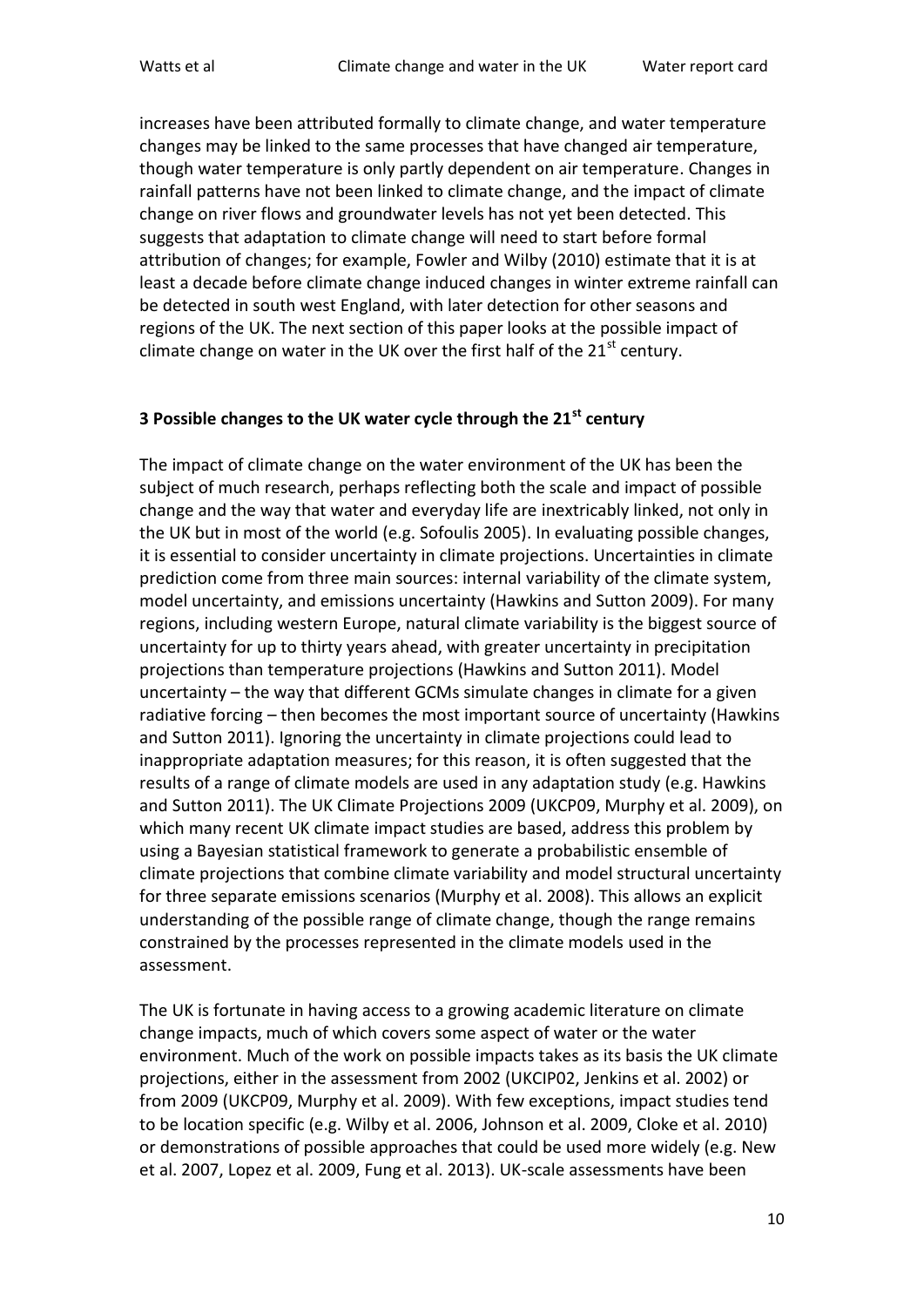increases have been attributed formally to climate change, and water temperature changes may be linked to the same processes that have changed air temperature, though water temperature is only partly dependent on air temperature. Changes in rainfall patterns have not been linked to climate change, and the impact of climate change on river flows and groundwater levels has not yet been detected. This suggests that adaptation to climate change will need to start before formal attribution of changes; for example, Fowler and Wilby (2010) estimate that it is at least a decade before climate change induced changes in winter extreme rainfall can be detected in south west England, with later detection for other seasons and regions of the UK. The next section of this paper looks at the possible impact of climate change on water in the UK over the first half of the 21<sup>st</sup> century.

## **3 Possible changes to the UK water cycle through the 21st century**

The impact of climate change on the water environment of the UK has been the subject of much research, perhaps reflecting both the scale and impact of possible change and the way that water and everyday life are inextricably linked, not only in the UK but in most of the world (e.g. Sofoulis 2005). In evaluating possible changes, it is essential to consider uncertainty in climate projections. Uncertainties in climate prediction come from three main sources: internal variability of the climate system, model uncertainty, and emissions uncertainty (Hawkins and Sutton 2009). For many regions, including western Europe, natural climate variability is the biggest source of uncertainty for up to thirty years ahead, with greater uncertainty in precipitation projections than temperature projections (Hawkins and Sutton 2011). Model uncertainty – the way that different GCMs simulate changes in climate for a given radiative forcing – then becomes the most important source of uncertainty (Hawkins and Sutton 2011). Ignoring the uncertainty in climate projections could lead to inappropriate adaptation measures; for this reason, it is often suggested that the results of a range of climate models are used in any adaptation study (e.g. Hawkins and Sutton 2011). The UK Climate Projections 2009 (UKCP09, Murphy et al. 2009), on which many recent UK climate impact studies are based, address this problem by using a Bayesian statistical framework to generate a probabilistic ensemble of climate projections that combine climate variability and model structural uncertainty for three separate emissions scenarios (Murphy et al. 2008). This allows an explicit understanding of the possible range of climate change, though the range remains constrained by the processes represented in the climate models used in the assessment.

The UK is fortunate in having access to a growing academic literature on climate change impacts, much of which covers some aspect of water or the water environment. Much of the work on possible impacts takes as its basis the UK climate projections, either in the assessment from 2002 (UKCIP02, Jenkins et al. 2002) or from 2009 (UKCP09, Murphy et al. 2009). With few exceptions, impact studies tend to be location specific (e.g. Wilby et al. 2006, Johnson et al. 2009, Cloke et al. 2010) or demonstrations of possible approaches that could be used more widely (e.g. New et al. 2007, Lopez et al. 2009, Fung et al. 2013). UK-scale assessments have been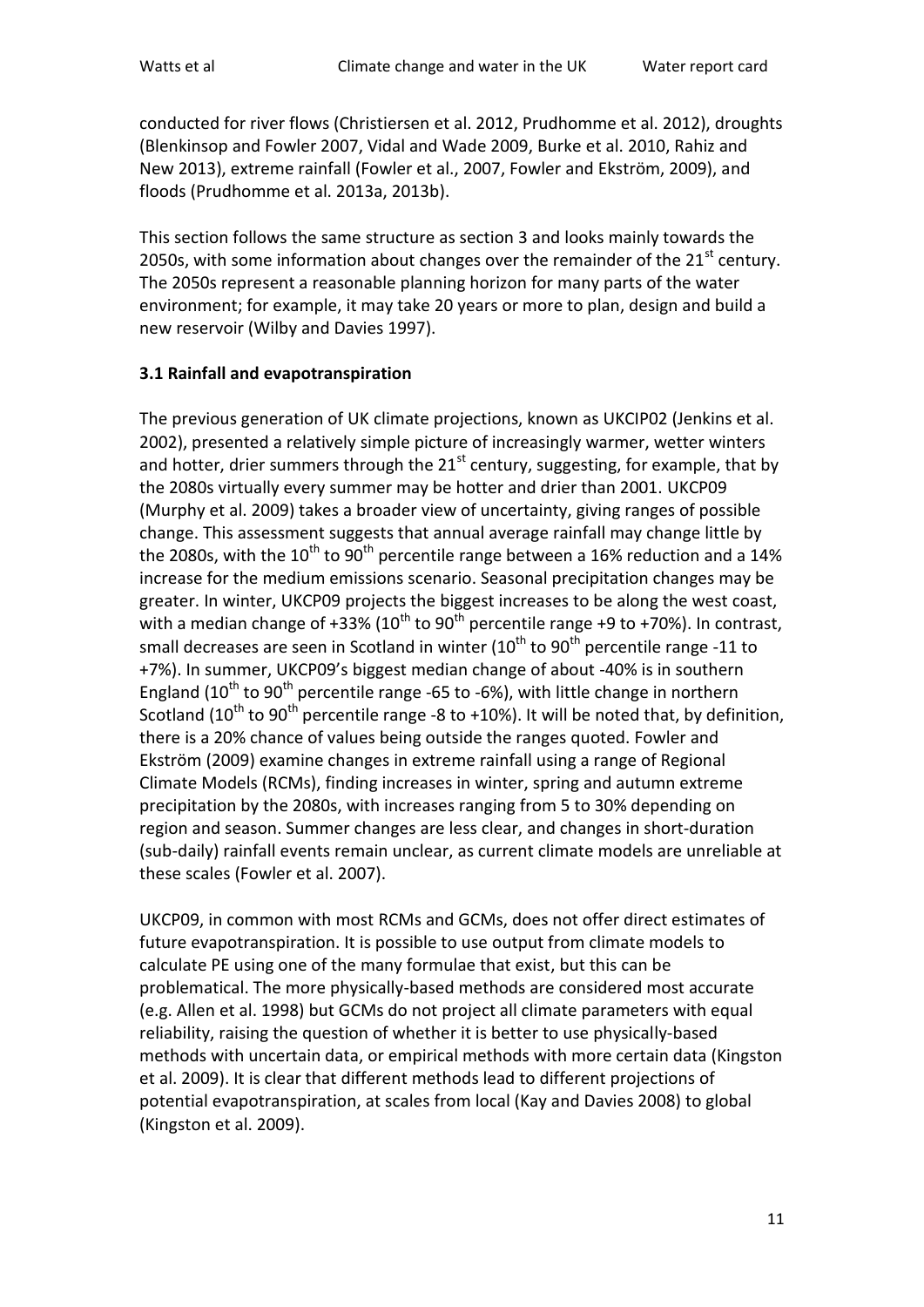conducted for river flows (Christiersen et al. 2012, Prudhomme et al. 2012), droughts (Blenkinsop and Fowler 2007, Vidal and Wade 2009, Burke et al. 2010, Rahiz and New 2013), extreme rainfall (Fowler et al., 2007, Fowler and Ekström, 2009), and floods (Prudhomme et al. 2013a, 2013b).

This section follows the same structure as section 3 and looks mainly towards the 2050s, with some information about changes over the remainder of the  $21<sup>st</sup>$  century. The 2050s represent a reasonable planning horizon for many parts of the water environment; for example, it may take 20 years or more to plan, design and build a new reservoir (Wilby and Davies 1997).

## **3.1 Rainfall and evapotranspiration**

The previous generation of UK climate projections, known as UKCIP02 (Jenkins et al. 2002), presented a relatively simple picture of increasingly warmer, wetter winters and hotter, drier summers through the  $21<sup>st</sup>$  century, suggesting, for example, that by the 2080s virtually every summer may be hotter and drier than 2001. UKCP09 (Murphy et al. 2009) takes a broader view of uncertainty, giving ranges of possible change. This assessment suggests that annual average rainfall may change little by the 2080s, with the  $10^{th}$  to  $90^{th}$  percentile range between a 16% reduction and a 14% increase for the medium emissions scenario. Seasonal precipitation changes may be greater. In winter, UKCP09 projects the biggest increases to be along the west coast, with a median change of +33% (10<sup>th</sup> to 90<sup>th</sup> percentile range +9 to +70%). In contrast, small decreases are seen in Scotland in winter  $(10^{th}$  to  $90^{th}$  percentile range -11 to +7%). In summer, UKCP09's biggest median change of about -40% is in southern England ( $10^{th}$  to  $90^{th}$  percentile range -65 to -6%), with little change in northern Scotland (10<sup>th</sup> to 90<sup>th</sup> percentile range -8 to +10%). It will be noted that, by definition, there is a 20% chance of values being outside the ranges quoted. Fowler and Ekström (2009) examine changes in extreme rainfall using a range of Regional Climate Models (RCMs), finding increases in winter, spring and autumn extreme precipitation by the 2080s, with increases ranging from 5 to 30% depending on region and season. Summer changes are less clear, and changes in short-duration (sub-daily) rainfall events remain unclear, as current climate models are unreliable at these scales (Fowler et al. 2007).

UKCP09, in common with most RCMs and GCMs, does not offer direct estimates of future evapotranspiration. It is possible to use output from climate models to calculate PE using one of the many formulae that exist, but this can be problematical. The more physically-based methods are considered most accurate (e.g. Allen et al. 1998) but GCMs do not project all climate parameters with equal reliability, raising the question of whether it is better to use physically-based methods with uncertain data, or empirical methods with more certain data (Kingston et al. 2009). It is clear that different methods lead to different projections of potential evapotranspiration, at scales from local (Kay and Davies 2008) to global (Kingston et al. 2009).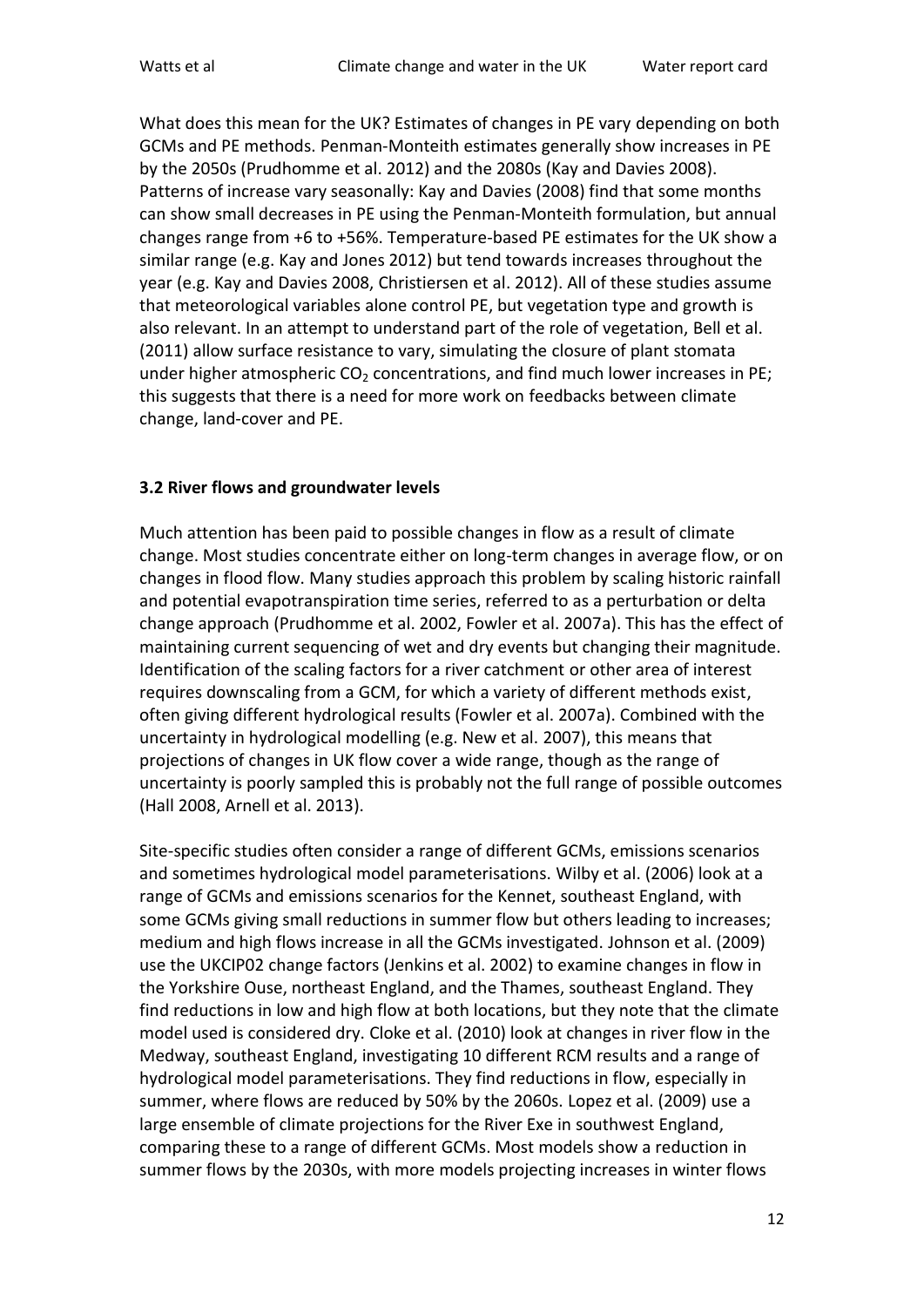What does this mean for the UK? Estimates of changes in PE vary depending on both GCMs and PE methods. Penman-Monteith estimates generally show increases in PE by the 2050s (Prudhomme et al. 2012) and the 2080s (Kay and Davies 2008). Patterns of increase vary seasonally: Kay and Davies (2008) find that some months can show small decreases in PE using the Penman-Monteith formulation, but annual changes range from +6 to +56%. Temperature-based PE estimates for the UK show a similar range (e.g. Kay and Jones 2012) but tend towards increases throughout the year (e.g. Kay and Davies 2008, Christiersen et al. 2012). All of these studies assume that meteorological variables alone control PE, but vegetation type and growth is also relevant. In an attempt to understand part of the role of vegetation, Bell et al. (2011) allow surface resistance to vary, simulating the closure of plant stomata under higher atmospheric  $CO<sub>2</sub>$  concentrations, and find much lower increases in PE; this suggests that there is a need for more work on feedbacks between climate change, land-cover and PE.

#### **3.2 River flows and groundwater levels**

Much attention has been paid to possible changes in flow as a result of climate change. Most studies concentrate either on long-term changes in average flow, or on changes in flood flow. Many studies approach this problem by scaling historic rainfall and potential evapotranspiration time series, referred to as a perturbation or delta change approach (Prudhomme et al. 2002, Fowler et al. 2007a). This has the effect of maintaining current sequencing of wet and dry events but changing their magnitude. Identification of the scaling factors for a river catchment or other area of interest requires downscaling from a GCM, for which a variety of different methods exist, often giving different hydrological results (Fowler et al. 2007a). Combined with the uncertainty in hydrological modelling (e.g. New et al. 2007), this means that projections of changes in UK flow cover a wide range, though as the range of uncertainty is poorly sampled this is probably not the full range of possible outcomes (Hall 2008, Arnell et al. 2013).

Site-specific studies often consider a range of different GCMs, emissions scenarios and sometimes hydrological model parameterisations. Wilby et al. (2006) look at a range of GCMs and emissions scenarios for the Kennet, southeast England, with some GCMs giving small reductions in summer flow but others leading to increases; medium and high flows increase in all the GCMs investigated. Johnson et al. (2009) use the UKCIP02 change factors (Jenkins et al. 2002) to examine changes in flow in the Yorkshire Ouse, northeast England, and the Thames, southeast England. They find reductions in low and high flow at both locations, but they note that the climate model used is considered dry. Cloke et al. (2010) look at changes in river flow in the Medway, southeast England, investigating 10 different RCM results and a range of hydrological model parameterisations. They find reductions in flow, especially in summer, where flows are reduced by 50% by the 2060s. Lopez et al. (2009) use a large ensemble of climate projections for the River Exe in southwest England, comparing these to a range of different GCMs. Most models show a reduction in summer flows by the 2030s, with more models projecting increases in winter flows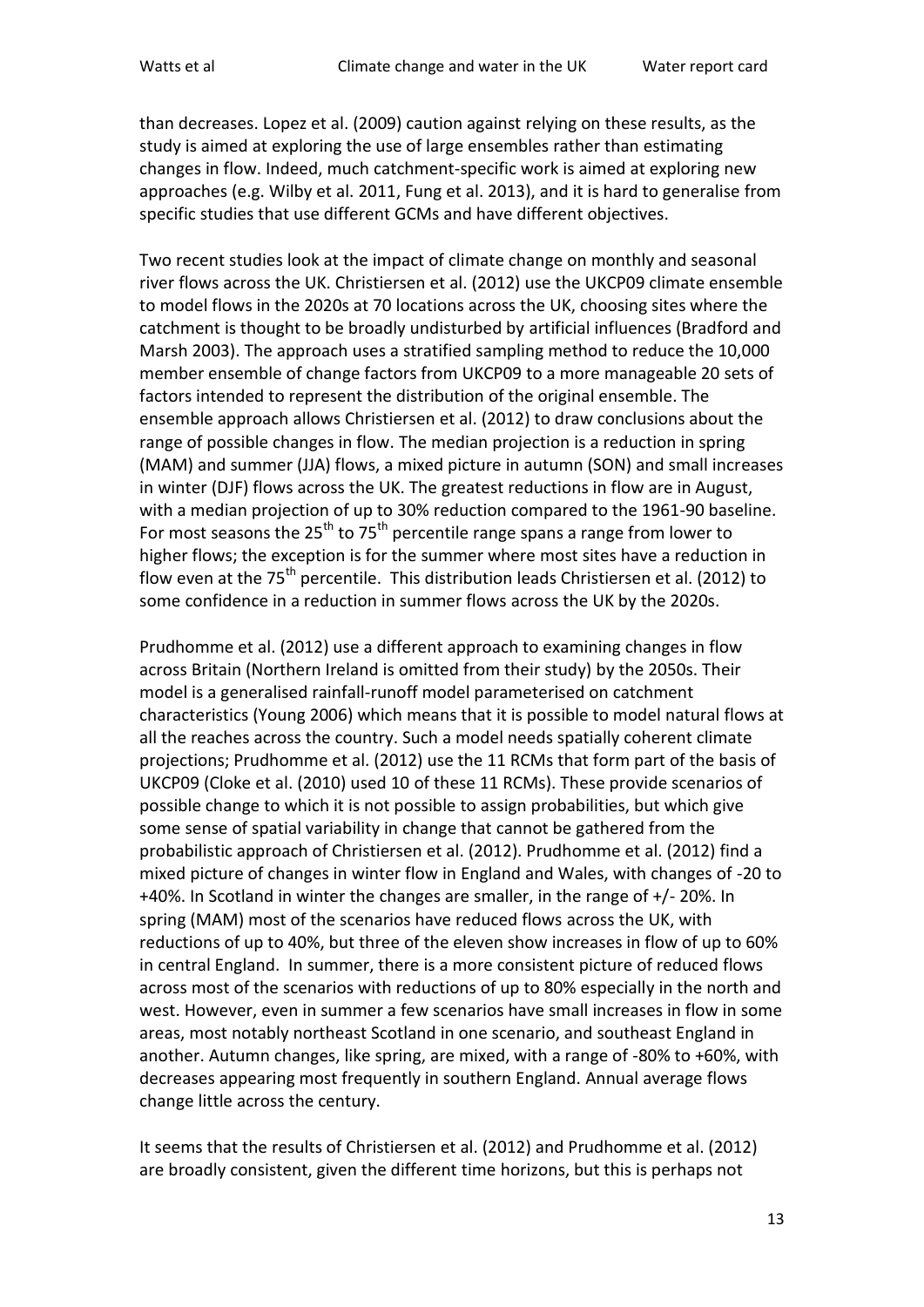than decreases. Lopez et al. (2009) caution against relying on these results, as the study is aimed at exploring the use of large ensembles rather than estimating changes in flow. Indeed, much catchment-specific work is aimed at exploring new approaches (e.g. Wilby et al. 2011, Fung et al. 2013), and it is hard to generalise from specific studies that use different GCMs and have different objectives.

Two recent studies look at the impact of climate change on monthly and seasonal river flows across the UK. Christiersen et al. (2012) use the UKCP09 climate ensemble to model flows in the 2020s at 70 locations across the UK, choosing sites where the catchment is thought to be broadly undisturbed by artificial influences (Bradford and Marsh 2003). The approach uses a stratified sampling method to reduce the 10,000 member ensemble of change factors from UKCP09 to a more manageable 20 sets of factors intended to represent the distribution of the original ensemble. The ensemble approach allows Christiersen et al. (2012) to draw conclusions about the range of possible changes in flow. The median projection is a reduction in spring (MAM) and summer (JJA) flows, a mixed picture in autumn (SON) and small increases in winter (DJF) flows across the UK. The greatest reductions in flow are in August, with a median projection of up to 30% reduction compared to the 1961-90 baseline. For most seasons the  $25<sup>th</sup>$  to 75<sup>th</sup> percentile range spans a range from lower to higher flows; the exception is for the summer where most sites have a reduction in flow even at the  $75<sup>th</sup>$  percentile. This distribution leads Christiersen et al. (2012) to some confidence in a reduction in summer flows across the UK by the 2020s.

Prudhomme et al. (2012) use a different approach to examining changes in flow across Britain (Northern Ireland is omitted from their study) by the 2050s. Their model is a generalised rainfall-runoff model parameterised on catchment characteristics (Young 2006) which means that it is possible to model natural flows at all the reaches across the country. Such a model needs spatially coherent climate projections; Prudhomme et al. (2012) use the 11 RCMs that form part of the basis of UKCP09 (Cloke et al. (2010) used 10 of these 11 RCMs). These provide scenarios of possible change to which it is not possible to assign probabilities, but which give some sense of spatial variability in change that cannot be gathered from the probabilistic approach of Christiersen et al. (2012). Prudhomme et al. (2012) find a mixed picture of changes in winter flow in England and Wales, with changes of -20 to +40%. In Scotland in winter the changes are smaller, in the range of +/- 20%. In spring (MAM) most of the scenarios have reduced flows across the UK, with reductions of up to 40%, but three of the eleven show increases in flow of up to 60% in central England. In summer, there is a more consistent picture of reduced flows across most of the scenarios with reductions of up to 80% especially in the north and west. However, even in summer a few scenarios have small increases in flow in some areas, most notably northeast Scotland in one scenario, and southeast England in another. Autumn changes, like spring, are mixed, with a range of -80% to +60%, with decreases appearing most frequently in southern England. Annual average flows change little across the century.

It seems that the results of Christiersen et al. (2012) and Prudhomme et al. (2012) are broadly consistent, given the different time horizons, but this is perhaps not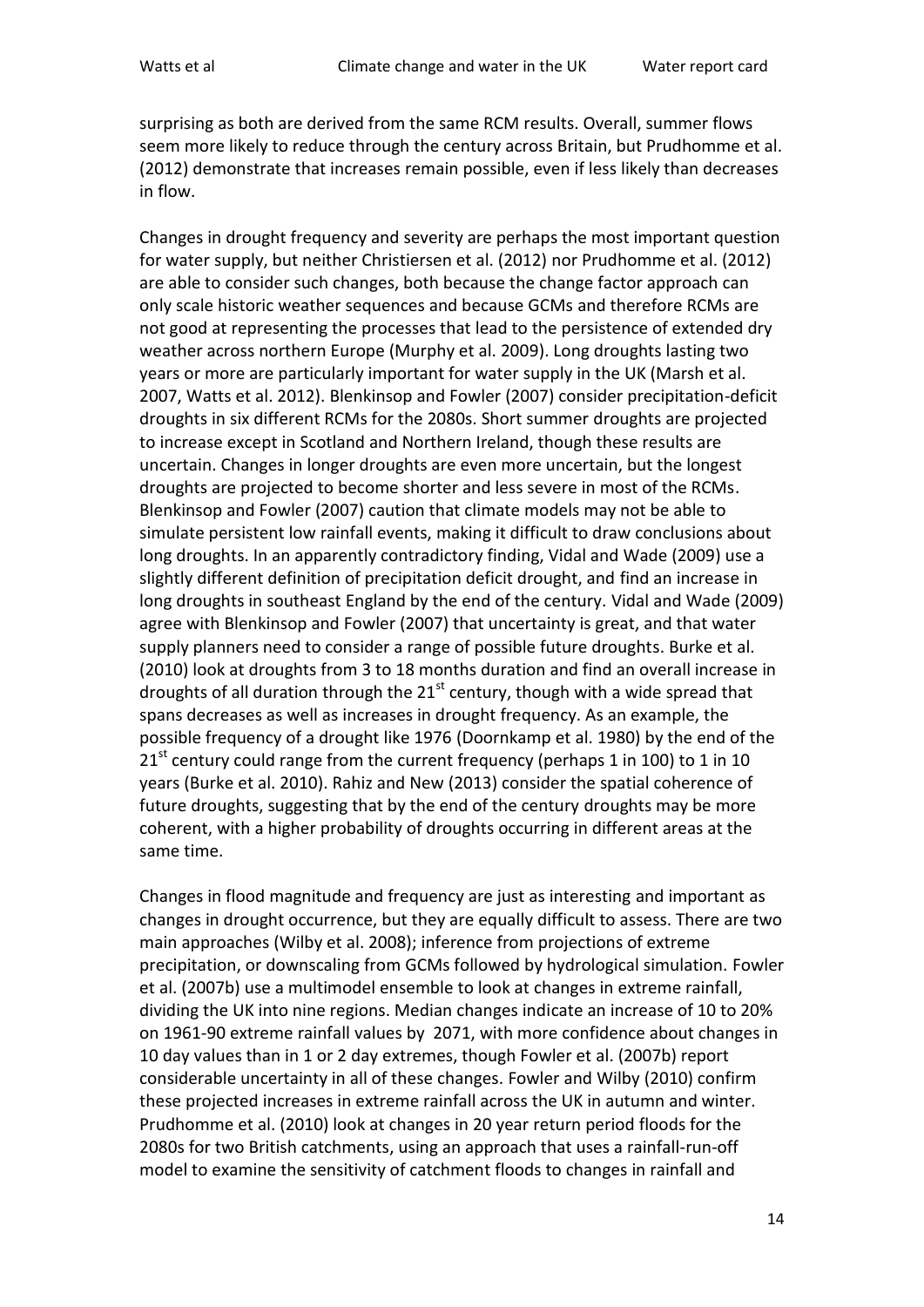surprising as both are derived from the same RCM results. Overall, summer flows seem more likely to reduce through the century across Britain, but Prudhomme et al. (2012) demonstrate that increases remain possible, even if less likely than decreases in flow.

Changes in drought frequency and severity are perhaps the most important question for water supply, but neither Christiersen et al. (2012) nor Prudhomme et al. (2012) are able to consider such changes, both because the change factor approach can only scale historic weather sequences and because GCMs and therefore RCMs are not good at representing the processes that lead to the persistence of extended dry weather across northern Europe (Murphy et al. 2009). Long droughts lasting two years or more are particularly important for water supply in the UK (Marsh et al. 2007, Watts et al. 2012). Blenkinsop and Fowler (2007) consider precipitation-deficit droughts in six different RCMs for the 2080s. Short summer droughts are projected to increase except in Scotland and Northern Ireland, though these results are uncertain. Changes in longer droughts are even more uncertain, but the longest droughts are projected to become shorter and less severe in most of the RCMs. Blenkinsop and Fowler (2007) caution that climate models may not be able to simulate persistent low rainfall events, making it difficult to draw conclusions about long droughts. In an apparently contradictory finding, Vidal and Wade (2009) use a slightly different definition of precipitation deficit drought, and find an increase in long droughts in southeast England by the end of the century. Vidal and Wade (2009) agree with Blenkinsop and Fowler (2007) that uncertainty is great, and that water supply planners need to consider a range of possible future droughts. Burke et al. (2010) look at droughts from 3 to 18 months duration and find an overall increase in droughts of all duration through the  $21^{st}$  century, though with a wide spread that spans decreases as well as increases in drought frequency. As an example, the possible frequency of a drought like 1976 (Doornkamp et al. 1980) by the end of the  $21<sup>st</sup>$  century could range from the current frequency (perhaps 1 in 100) to 1 in 10 years (Burke et al. 2010). Rahiz and New (2013) consider the spatial coherence of future droughts, suggesting that by the end of the century droughts may be more coherent, with a higher probability of droughts occurring in different areas at the same time.

Changes in flood magnitude and frequency are just as interesting and important as changes in drought occurrence, but they are equally difficult to assess. There are two main approaches (Wilby et al. 2008); inference from projections of extreme precipitation, or downscaling from GCMs followed by hydrological simulation. Fowler et al. (2007b) use a multimodel ensemble to look at changes in extreme rainfall, dividing the UK into nine regions. Median changes indicate an increase of 10 to 20% on 1961-90 extreme rainfall values by 2071, with more confidence about changes in 10 day values than in 1 or 2 day extremes, though Fowler et al. (2007b) report considerable uncertainty in all of these changes. Fowler and Wilby (2010) confirm these projected increases in extreme rainfall across the UK in autumn and winter. Prudhomme et al. (2010) look at changes in 20 year return period floods for the 2080s for two British catchments, using an approach that uses a rainfall-run-off model to examine the sensitivity of catchment floods to changes in rainfall and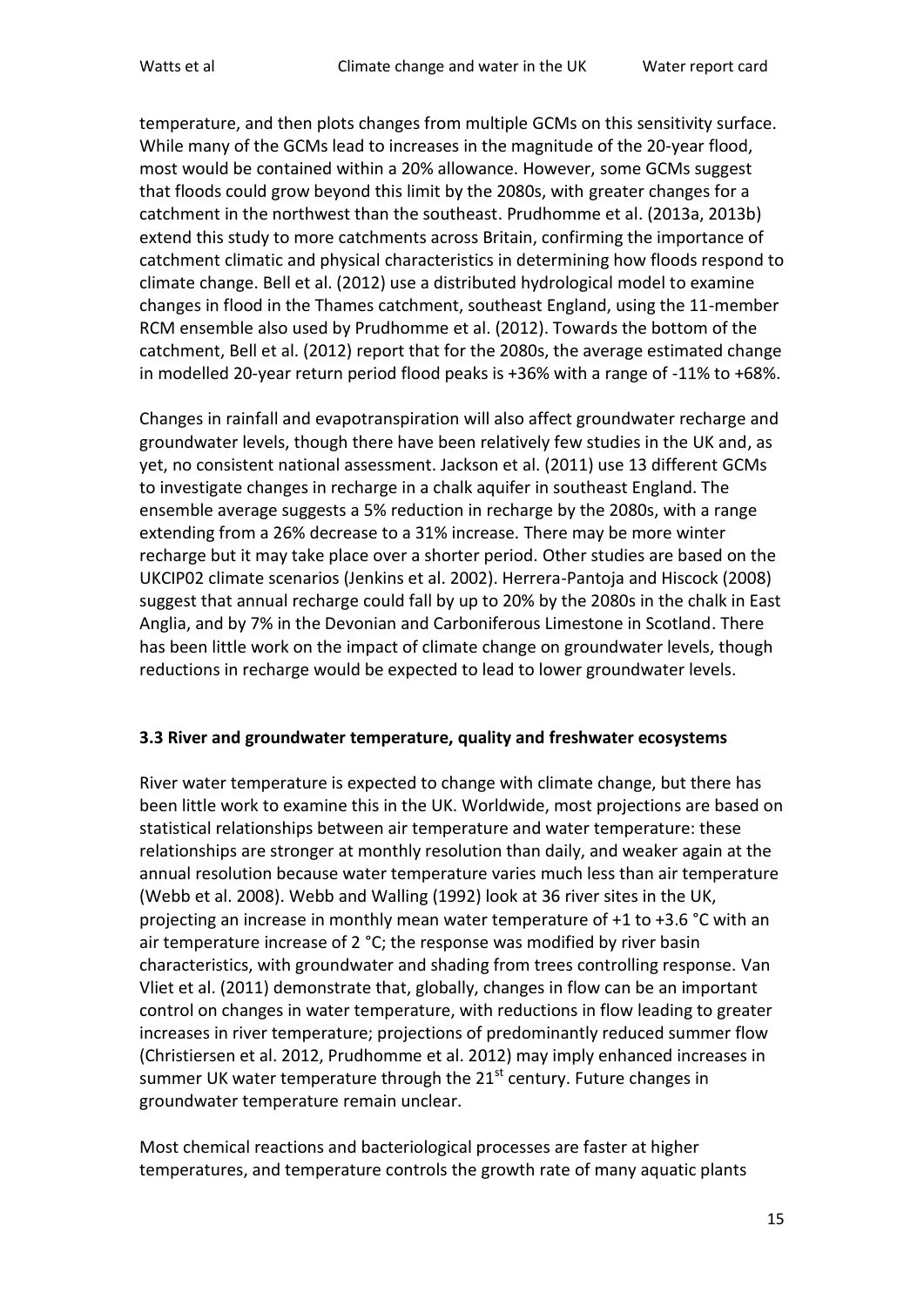temperature, and then plots changes from multiple GCMs on this sensitivity surface. While many of the GCMs lead to increases in the magnitude of the 20-year flood, most would be contained within a 20% allowance. However, some GCMs suggest that floods could grow beyond this limit by the 2080s, with greater changes for a catchment in the northwest than the southeast. Prudhomme et al. (2013a, 2013b) extend this study to more catchments across Britain, confirming the importance of catchment climatic and physical characteristics in determining how floods respond to climate change. Bell et al. (2012) use a distributed hydrological model to examine changes in flood in the Thames catchment, southeast England, using the 11-member RCM ensemble also used by Prudhomme et al. (2012). Towards the bottom of the catchment, Bell et al. (2012) report that for the 2080s, the average estimated change in modelled 20-year return period flood peaks is +36% with a range of -11% to +68%.

Changes in rainfall and evapotranspiration will also affect groundwater recharge and groundwater levels, though there have been relatively few studies in the UK and, as yet, no consistent national assessment. Jackson et al. (2011) use 13 different GCMs to investigate changes in recharge in a chalk aquifer in southeast England. The ensemble average suggests a 5% reduction in recharge by the 2080s, with a range extending from a 26% decrease to a 31% increase. There may be more winter recharge but it may take place over a shorter period. Other studies are based on the UKCIP02 climate scenarios (Jenkins et al. 2002). Herrera-Pantoja and Hiscock (2008) suggest that annual recharge could fall by up to 20% by the 2080s in the chalk in East Anglia, and by 7% in the Devonian and Carboniferous Limestone in Scotland. There has been little work on the impact of climate change on groundwater levels, though reductions in recharge would be expected to lead to lower groundwater levels.

#### **3.3 River and groundwater temperature, quality and freshwater ecosystems**

River water temperature is expected to change with climate change, but there has been little work to examine this in the UK. Worldwide, most projections are based on statistical relationships between air temperature and water temperature: these relationships are stronger at monthly resolution than daily, and weaker again at the annual resolution because water temperature varies much less than air temperature (Webb et al. 2008). Webb and Walling (1992) look at 36 river sites in the UK, projecting an increase in monthly mean water temperature of +1 to +3.6 °C with an air temperature increase of 2 °C; the response was modified by river basin characteristics, with groundwater and shading from trees controlling response. Van Vliet et al. (2011) demonstrate that, globally, changes in flow can be an important control on changes in water temperature, with reductions in flow leading to greater increases in river temperature; projections of predominantly reduced summer flow (Christiersen et al. 2012, Prudhomme et al. 2012) may imply enhanced increases in summer UK water temperature through the  $21<sup>st</sup>$  century. Future changes in groundwater temperature remain unclear.

Most chemical reactions and bacteriological processes are faster at higher temperatures, and temperature controls the growth rate of many aquatic plants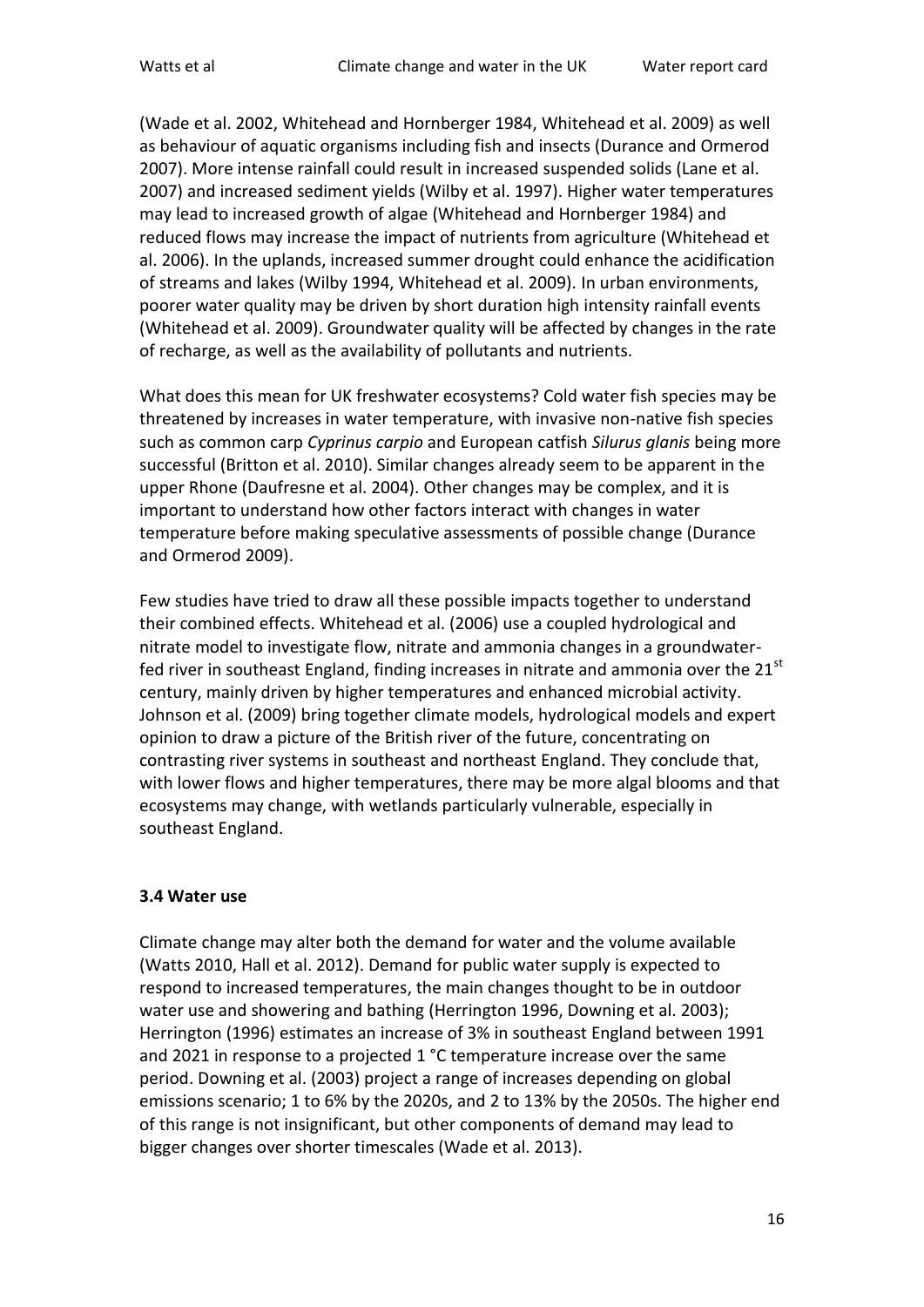(Wade et al. 2002, Whitehead and Hornberger 1984, Whitehead et al. 2009) as well as behaviour of aquatic organisms including fish and insects (Durance and Ormerod 2007). More intense rainfall could result in increased suspended solids (Lane et al. 2007) and increased sediment yields (Wilby et al. 1997). Higher water temperatures may lead to increased growth of algae (Whitehead and Hornberger 1984) and reduced flows may increase the impact of nutrients from agriculture (Whitehead et al. 2006). In the uplands, increased summer drought could enhance the acidification of streams and lakes (Wilby 1994, Whitehead et al. 2009). In urban environments, poorer water quality may be driven by short duration high intensity rainfall events (Whitehead et al. 2009). Groundwater quality will be affected by changes in the rate of recharge, as well as the availability of pollutants and nutrients.

What does this mean for UK freshwater ecosystems? Cold water fish species may be threatened by increases in water temperature, with invasive non-native fish species such as common carp *Cyprinus carpio* and European catfish *Silurus glanis* being more successful (Britton et al. 2010). Similar changes already seem to be apparent in the upper Rhone (Daufresne et al. 2004). Other changes may be complex, and it is important to understand how other factors interact with changes in water temperature before making speculative assessments of possible change (Durance and Ormerod 2009).

Few studies have tried to draw all these possible impacts together to understand their combined effects. Whitehead et al. (2006) use a coupled hydrological and nitrate model to investigate flow, nitrate and ammonia changes in a groundwaterfed river in southeast England, finding increases in nitrate and ammonia over the  $21<sup>st</sup>$ century, mainly driven by higher temperatures and enhanced microbial activity. Johnson et al. (2009) bring together climate models, hydrological models and expert opinion to draw a picture of the British river of the future, concentrating on contrasting river systems in southeast and northeast England. They conclude that, with lower flows and higher temperatures, there may be more algal blooms and that ecosystems may change, with wetlands particularly vulnerable, especially in southeast England.

## **3.4 Water use**

Climate change may alter both the demand for water and the volume available (Watts 2010, Hall et al. 2012). Demand for public water supply is expected to respond to increased temperatures, the main changes thought to be in outdoor water use and showering and bathing (Herrington 1996, Downing et al. 2003); Herrington (1996) estimates an increase of 3% in southeast England between 1991 and 2021 in response to a projected 1 °C temperature increase over the same period. Downing et al. (2003) project a range of increases depending on global emissions scenario; 1 to 6% by the 2020s, and 2 to 13% by the 2050s. The higher end of this range is not insignificant, but other components of demand may lead to bigger changes over shorter timescales (Wade et al. 2013).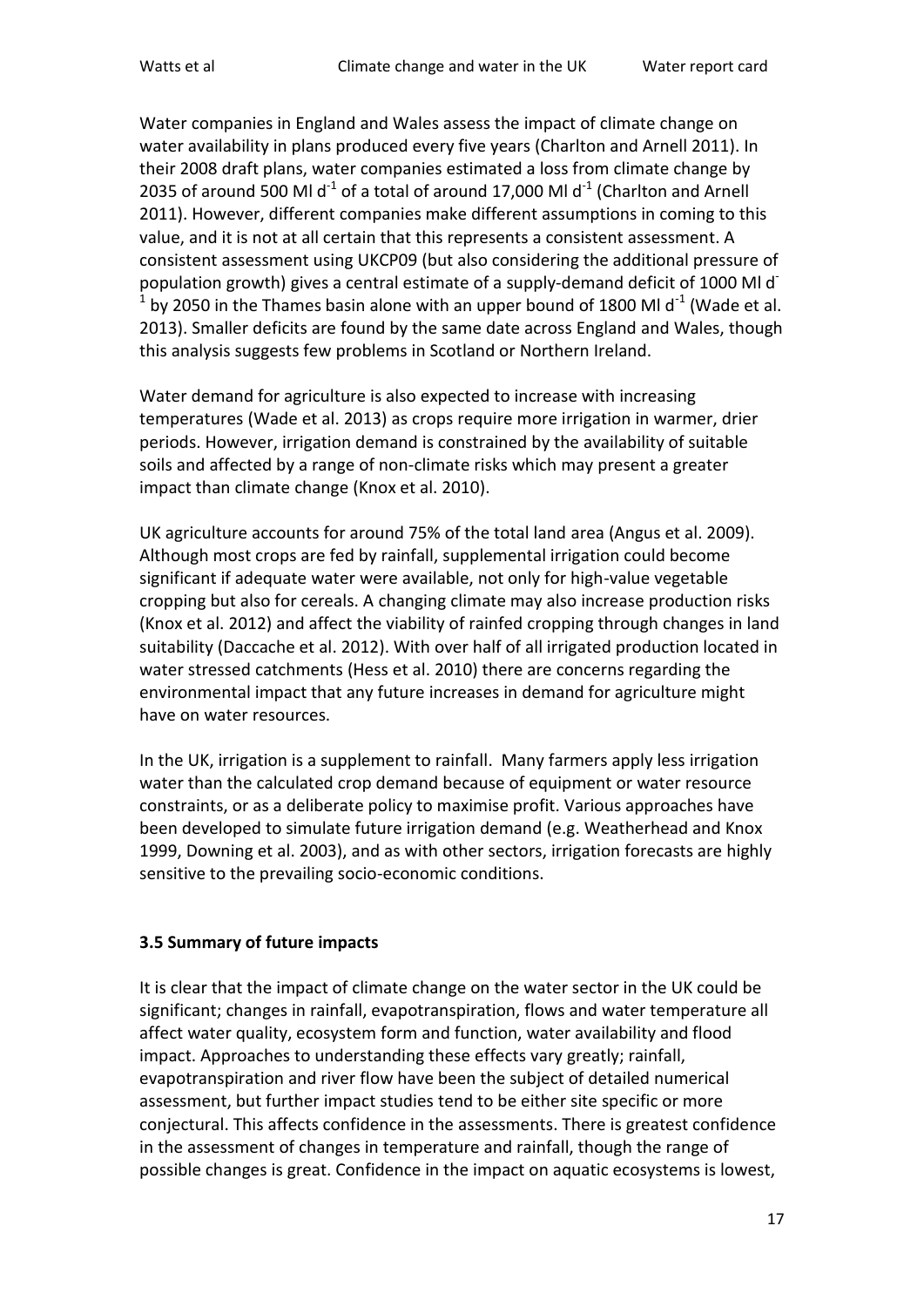Water companies in England and Wales assess the impact of climate change on water availability in plans produced every five years (Charlton and Arnell 2011). In their 2008 draft plans, water companies estimated a loss from climate change by 2035 of around 500 Ml  $d^{-1}$  of a total of around 17,000 Ml  $d^{-1}$  (Charlton and Arnell 2011). However, different companies make different assumptions in coming to this value, and it is not at all certain that this represents a consistent assessment. A consistent assessment using UKCP09 (but also considering the additional pressure of population growth) gives a central estimate of a supply-demand deficit of 1000 Ml d<sup>-</sup>  $^1$  by 2050 in the Thames basin alone with an upper bound of 1800 Ml d<sup>-1</sup> (Wade et al. 2013). Smaller deficits are found by the same date across England and Wales, though this analysis suggests few problems in Scotland or Northern Ireland.

Water demand for agriculture is also expected to increase with increasing temperatures (Wade et al. 2013) as crops require more irrigation in warmer, drier periods. However, irrigation demand is constrained by the availability of suitable soils and affected by a range of non-climate risks which may present a greater impact than climate change (Knox et al. 2010).

UK agriculture accounts for around 75% of the total land area (Angus et al. 2009). Although most crops are fed by rainfall, supplemental irrigation could become significant if adequate water were available, not only for high-value vegetable cropping but also for cereals. A changing climate may also increase production risks (Knox et al. 2012) and affect the viability of rainfed cropping through changes in land suitability (Daccache et al. 2012). With over half of all irrigated production located in water stressed catchments (Hess et al. 2010) there are concerns regarding the environmental impact that any future increases in demand for agriculture might have on water resources.

In the UK, irrigation is a supplement to rainfall. Many farmers apply less irrigation water than the calculated crop demand because of equipment or water resource constraints, or as a deliberate policy to maximise profit. Various approaches have been developed to simulate future irrigation demand (e.g. Weatherhead and Knox 1999, Downing et al. 2003), and as with other sectors, irrigation forecasts are highly sensitive to the prevailing socio-economic conditions.

## **3.5 Summary of future impacts**

It is clear that the impact of climate change on the water sector in the UK could be significant; changes in rainfall, evapotranspiration, flows and water temperature all affect water quality, ecosystem form and function, water availability and flood impact. Approaches to understanding these effects vary greatly; rainfall, evapotranspiration and river flow have been the subject of detailed numerical assessment, but further impact studies tend to be either site specific or more conjectural. This affects confidence in the assessments. There is greatest confidence in the assessment of changes in temperature and rainfall, though the range of possible changes is great. Confidence in the impact on aquatic ecosystems is lowest,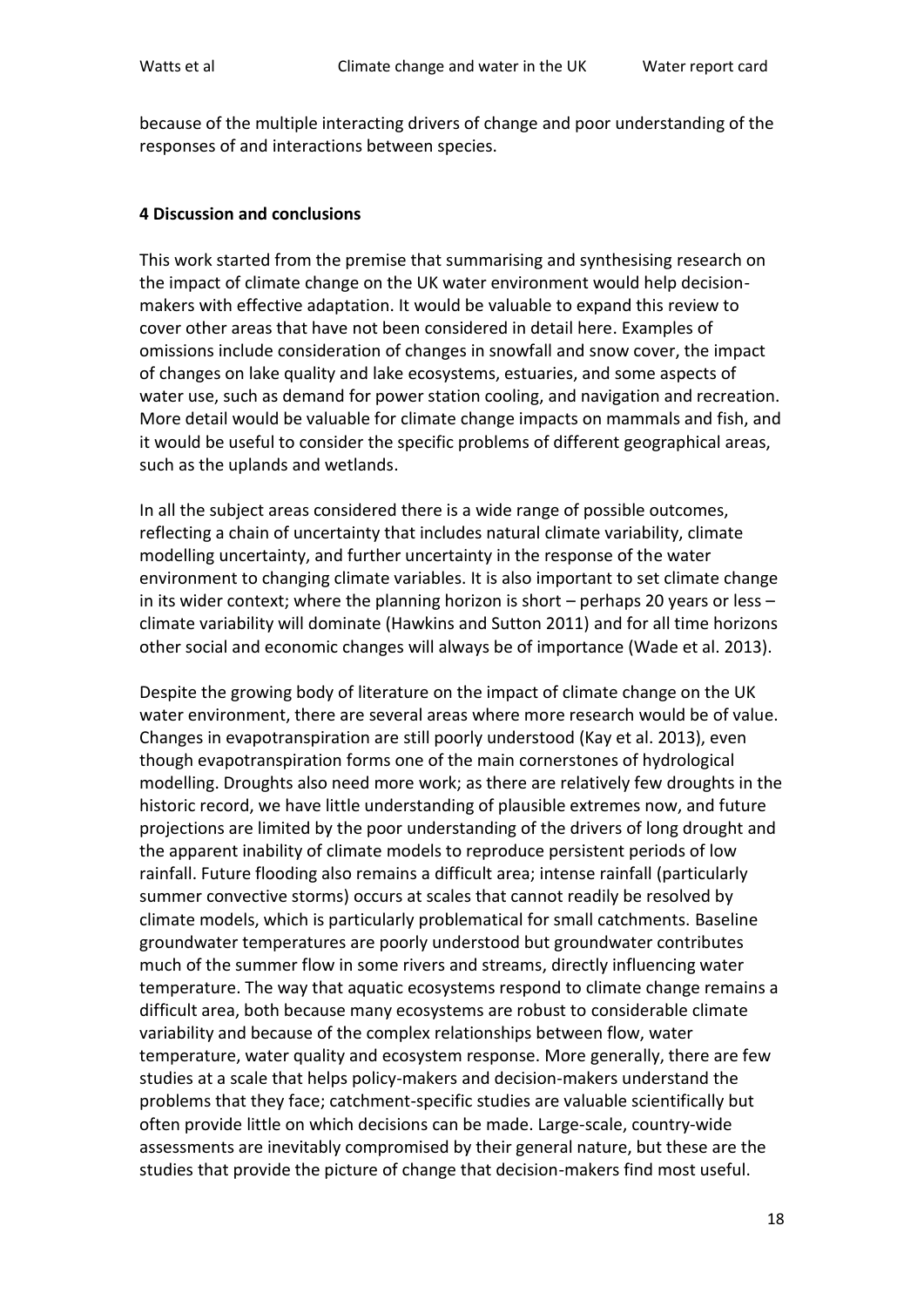because of the multiple interacting drivers of change and poor understanding of the responses of and interactions between species.

#### **4 Discussion and conclusions**

This work started from the premise that summarising and synthesising research on the impact of climate change on the UK water environment would help decisionmakers with effective adaptation. It would be valuable to expand this review to cover other areas that have not been considered in detail here. Examples of omissions include consideration of changes in snowfall and snow cover, the impact of changes on lake quality and lake ecosystems, estuaries, and some aspects of water use, such as demand for power station cooling, and navigation and recreation. More detail would be valuable for climate change impacts on mammals and fish, and it would be useful to consider the specific problems of different geographical areas, such as the uplands and wetlands.

In all the subject areas considered there is a wide range of possible outcomes, reflecting a chain of uncertainty that includes natural climate variability, climate modelling uncertainty, and further uncertainty in the response of the water environment to changing climate variables. It is also important to set climate change in its wider context; where the planning horizon is short – perhaps 20 years or less – climate variability will dominate (Hawkins and Sutton 2011) and for all time horizons other social and economic changes will always be of importance (Wade et al. 2013).

Despite the growing body of literature on the impact of climate change on the UK water environment, there are several areas where more research would be of value. Changes in evapotranspiration are still poorly understood (Kay et al. 2013), even though evapotranspiration forms one of the main cornerstones of hydrological modelling. Droughts also need more work; as there are relatively few droughts in the historic record, we have little understanding of plausible extremes now, and future projections are limited by the poor understanding of the drivers of long drought and the apparent inability of climate models to reproduce persistent periods of low rainfall. Future flooding also remains a difficult area; intense rainfall (particularly summer convective storms) occurs at scales that cannot readily be resolved by climate models, which is particularly problematical for small catchments. Baseline groundwater temperatures are poorly understood but groundwater contributes much of the summer flow in some rivers and streams, directly influencing water temperature. The way that aquatic ecosystems respond to climate change remains a difficult area, both because many ecosystems are robust to considerable climate variability and because of the complex relationships between flow, water temperature, water quality and ecosystem response. More generally, there are few studies at a scale that helps policy-makers and decision-makers understand the problems that they face; catchment-specific studies are valuable scientifically but often provide little on which decisions can be made. Large-scale, country-wide assessments are inevitably compromised by their general nature, but these are the studies that provide the picture of change that decision-makers find most useful.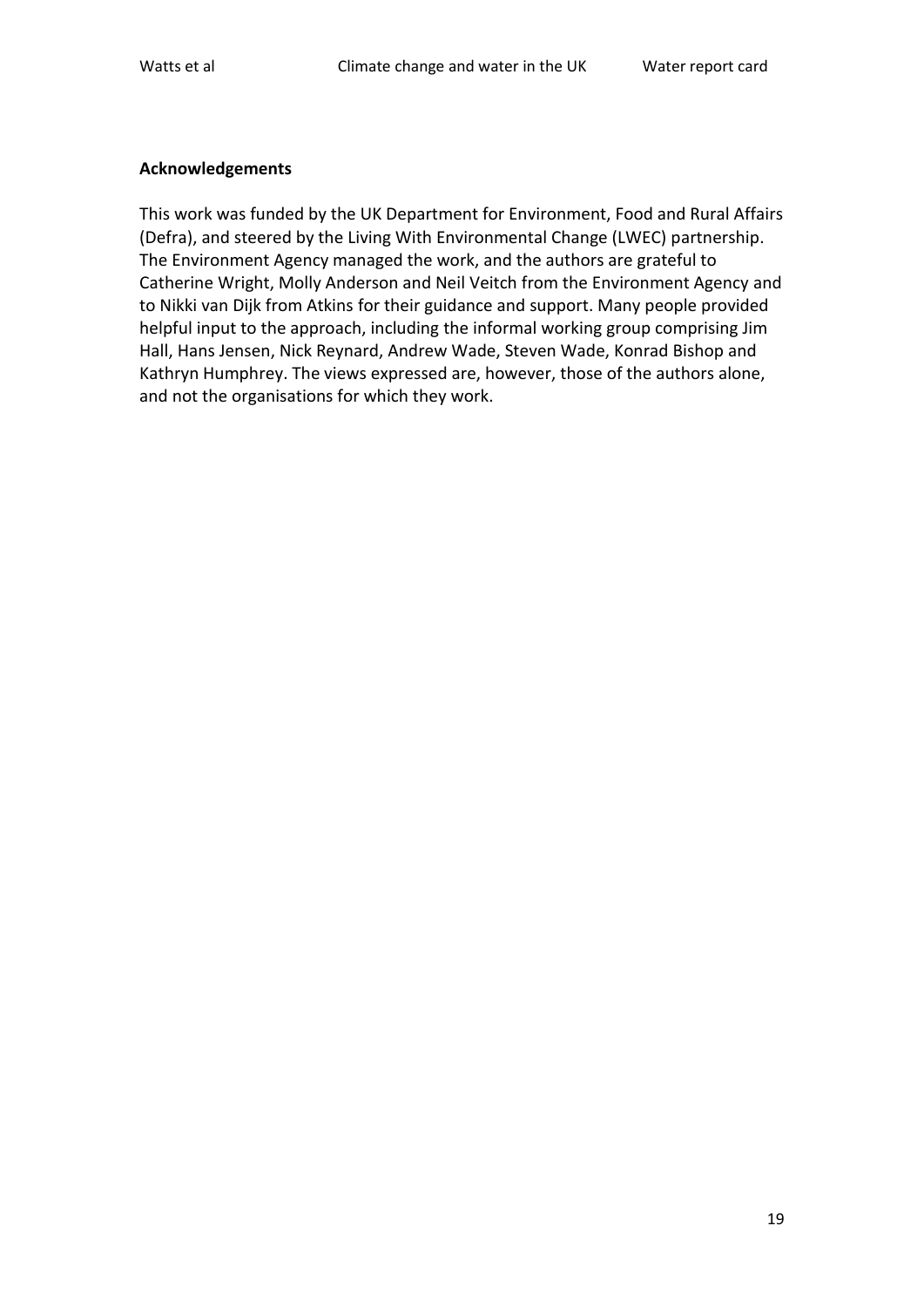#### **Acknowledgements**

This work was funded by the UK Department for Environment, Food and Rural Affairs (Defra), and steered by the Living With Environmental Change (LWEC) partnership. The Environment Agency managed the work, and the authors are grateful to Catherine Wright, Molly Anderson and Neil Veitch from the Environment Agency and to Nikki van Dijk from Atkins for their guidance and support. Many people provided helpful input to the approach, including the informal working group comprising Jim Hall, Hans Jensen, Nick Reynard, Andrew Wade, Steven Wade, Konrad Bishop and Kathryn Humphrey. The views expressed are, however, those of the authors alone, and not the organisations for which they work.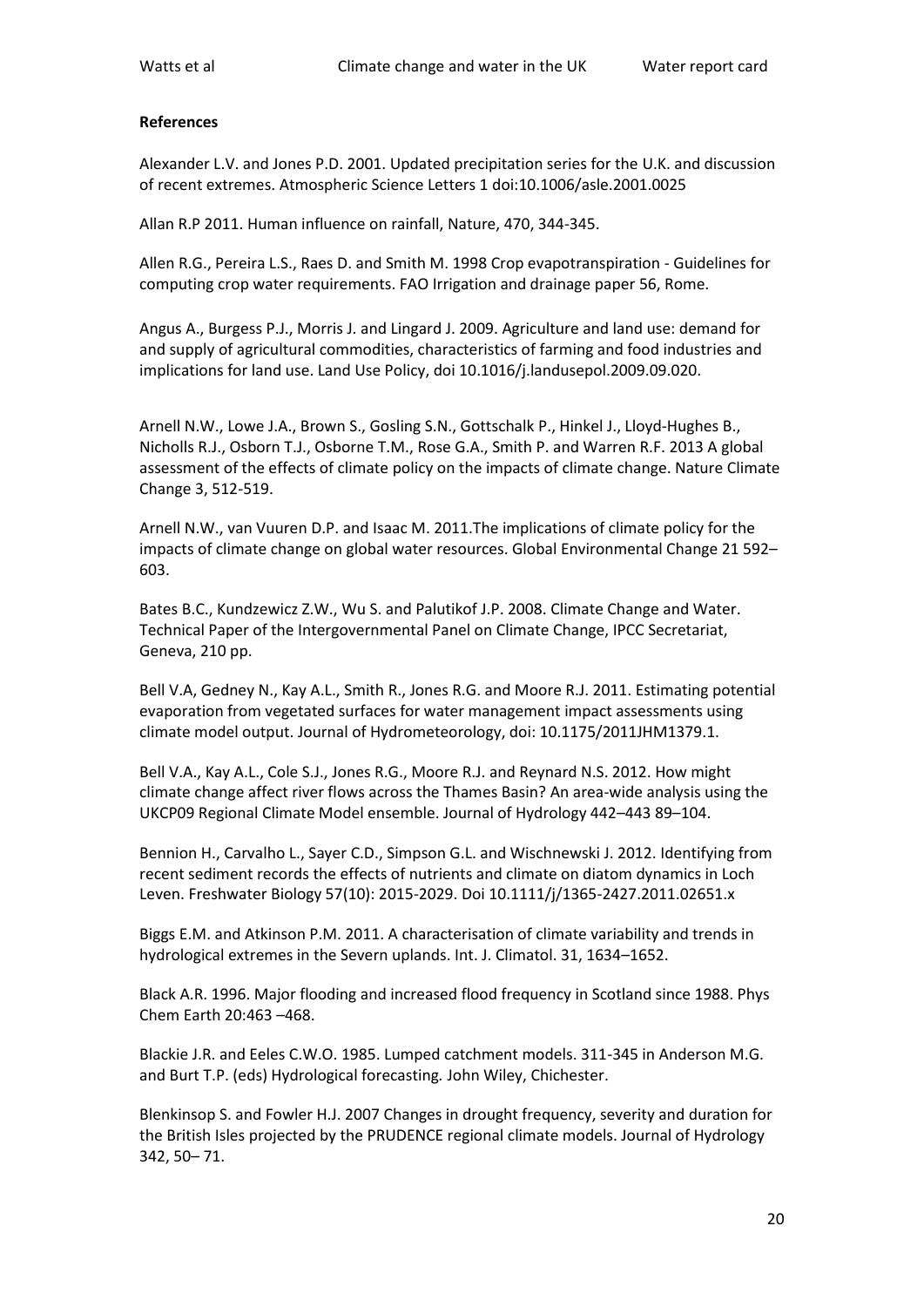#### **References**

Alexander L.V. and Jones P.D. 2001. Updated precipitation series for the U.K. and discussion of recent extremes. Atmospheric Science Letters 1 doi:10.1006/asle.2001.0025

Allan R.P 2011. Human influence on rainfall, Nature, 470, 344-345.

Allen R.G., Pereira L.S., Raes D. and Smith M. 1998 Crop evapotranspiration - Guidelines for computing crop water requirements. FAO Irrigation and drainage paper 56, Rome.

Angus A., Burgess P.J., Morris J. and Lingard J. 2009. Agriculture and land use: demand for and supply of agricultural commodities, characteristics of farming and food industries and implications for land use. Land Use Policy, doi 10.1016/j.landusepol.2009.09.020.

Arnell N.W., Lowe J.A., Brown S., Gosling S.N., Gottschalk P., Hinkel J., Lloyd-Hughes B., Nicholls R.J., Osborn T.J., Osborne T.M., Rose G.A., Smith P. and Warren R.F. 2013 A global assessment of the effects of climate policy on the impacts of climate change. Nature Climate Change 3, 512-519.

Arnell N.W., van Vuuren D.P. and Isaac M. 2011.The implications of climate policy for the impacts of climate change on global water resources. Global Environmental Change 21 592– 603.

Bates B.C., Kundzewicz Z.W., Wu S. and Palutikof J.P. 2008. Climate Change and Water. Technical Paper of the Intergovernmental Panel on Climate Change, IPCC Secretariat, Geneva, 210 pp.

Bell V.A, Gedney N., Kay A.L., Smith R., Jones R.G. and Moore R.J. 2011. Estimating potential evaporation from vegetated surfaces for water management impact assessments using climate model output. Journal of Hydrometeorology, doi: 10.1175/2011JHM1379.1.

Bell V.A., Kay A.L., Cole S.J., Jones R.G., Moore R.J. and Reynard N.S. 2012. How might climate change affect river flows across the Thames Basin? An area-wide analysis using the UKCP09 Regional Climate Model ensemble. Journal of Hydrology 442–443 89–104.

Bennion H., Carvalho L., Sayer C.D., Simpson G.L. and Wischnewski J. 2012. Identifying from recent sediment records the effects of nutrients and climate on diatom dynamics in Loch Leven. Freshwater Biology 57(10): 2015-2029. Doi 10.1111/j/1365-2427.2011.02651.x

Biggs E.M. and Atkinson P.M. 2011. A characterisation of climate variability and trends in hydrological extremes in the Severn uplands. Int. J. Climatol. 31, 1634–1652.

Black A.R. 1996. Major flooding and increased flood frequency in Scotland since 1988. Phys Chem Earth 20:463 –468.

Blackie J.R. and Eeles C.W.O. 1985. Lumped catchment models. 311-345 in Anderson M.G. and Burt T.P. (eds) Hydrological forecasting*.* John Wiley, Chichester.

Blenkinsop S. and Fowler H.J. 2007 Changes in drought frequency, severity and duration for the British Isles projected by the PRUDENCE regional climate models. Journal of Hydrology 342, 50– 71.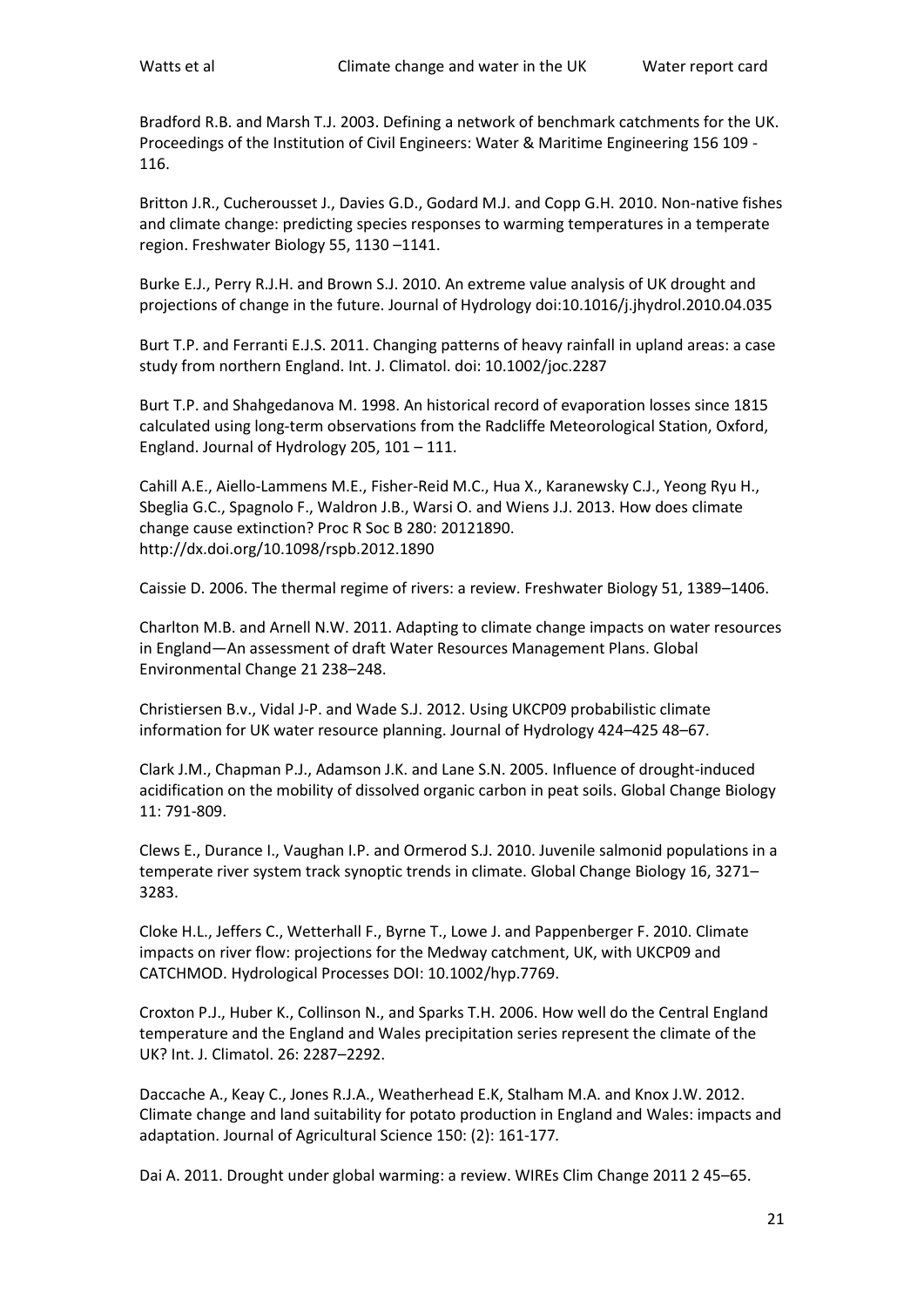Bradford R.B. and Marsh T.J. 2003. Defining a network of benchmark catchments for the UK. Proceedings of the Institution of Civil Engineers: Water & Maritime Engineering 156 109 - 116.

Britton J.R., Cucherousset J., Davies G.D., Godard M.J. and Copp G.H. 2010. Non-native fishes and climate change: predicting species responses to warming temperatures in a temperate region. Freshwater Biology 55, 1130 –1141.

Burke E.J., Perry R.J.H. and Brown S.J. 2010. An extreme value analysis of UK drought and projections of change in the future. Journal of Hydrology doi:10.1016/j.jhydrol.2010.04.035

Burt T.P. and Ferranti E.J.S. 2011. Changing patterns of heavy rainfall in upland areas: a case study from northern England. Int. J. Climatol. doi: 10.1002/joc.2287

Burt T.P. and Shahgedanova M. 1998. An historical record of evaporation losses since 1815 calculated using long-term observations from the Radcliffe Meteorological Station, Oxford, England. Journal of Hydrology 205, 101 – 111.

Cahill A.E., Aiello-Lammens M.E., Fisher-Reid M.C., Hua X., Karanewsky C.J., Yeong Ryu H., Sbeglia G.C., Spagnolo F., Waldron J.B., Warsi O. and Wiens J.J. 2013. How does climate change cause extinction? Proc R Soc B 280: 20121890. http://dx.doi.org/10.1098/rspb.2012.1890

Caissie D. 2006. The thermal regime of rivers: a review. Freshwater Biology 51, 1389–1406.

Charlton M.B. and Arnell N.W. 2011. Adapting to climate change impacts on water resources in England—An assessment of draft Water Resources Management Plans. Global Environmental Change 21 238–248.

Christiersen B.v., Vidal J-P. and Wade S.J. 2012. Using UKCP09 probabilistic climate information for UK water resource planning. Journal of Hydrology 424–425 48–67.

Clark J.M., Chapman P.J., Adamson J.K. and Lane S.N. 2005. Influence of drought-induced acidification on the mobility of dissolved organic carbon in peat soils. Global Change Biology 11: 791-809.

Clews E., Durance I., Vaughan I.P. and Ormerod S.J. 2010. Juvenile salmonid populations in a temperate river system track synoptic trends in climate. Global Change Biology 16, 3271– 3283.

Cloke H.L., Jeffers C., Wetterhall F., Byrne T., Lowe J. and Pappenberger F. 2010. Climate impacts on river flow: projections for the Medway catchment, UK, with UKCP09 and CATCHMOD. Hydrological Processes DOI: 10.1002/hyp.7769.

Croxton P.J., Huber K., Collinson N., and Sparks T.H. 2006. How well do the Central England temperature and the England and Wales precipitation series represent the climate of the UK? Int. J. Climatol. 26: 2287–2292.

Daccache A., Keay C., Jones R.J.A., Weatherhead E.K, Stalham M.A. and Knox J.W. 2012. Climate change and land suitability for potato production in England and Wales: impacts and adaptation. Journal of Agricultural Science 150: (2): 161-177*.*

Dai A. 2011. Drought under global warming: a review. WIREs Clim Change 2011 2 45–65.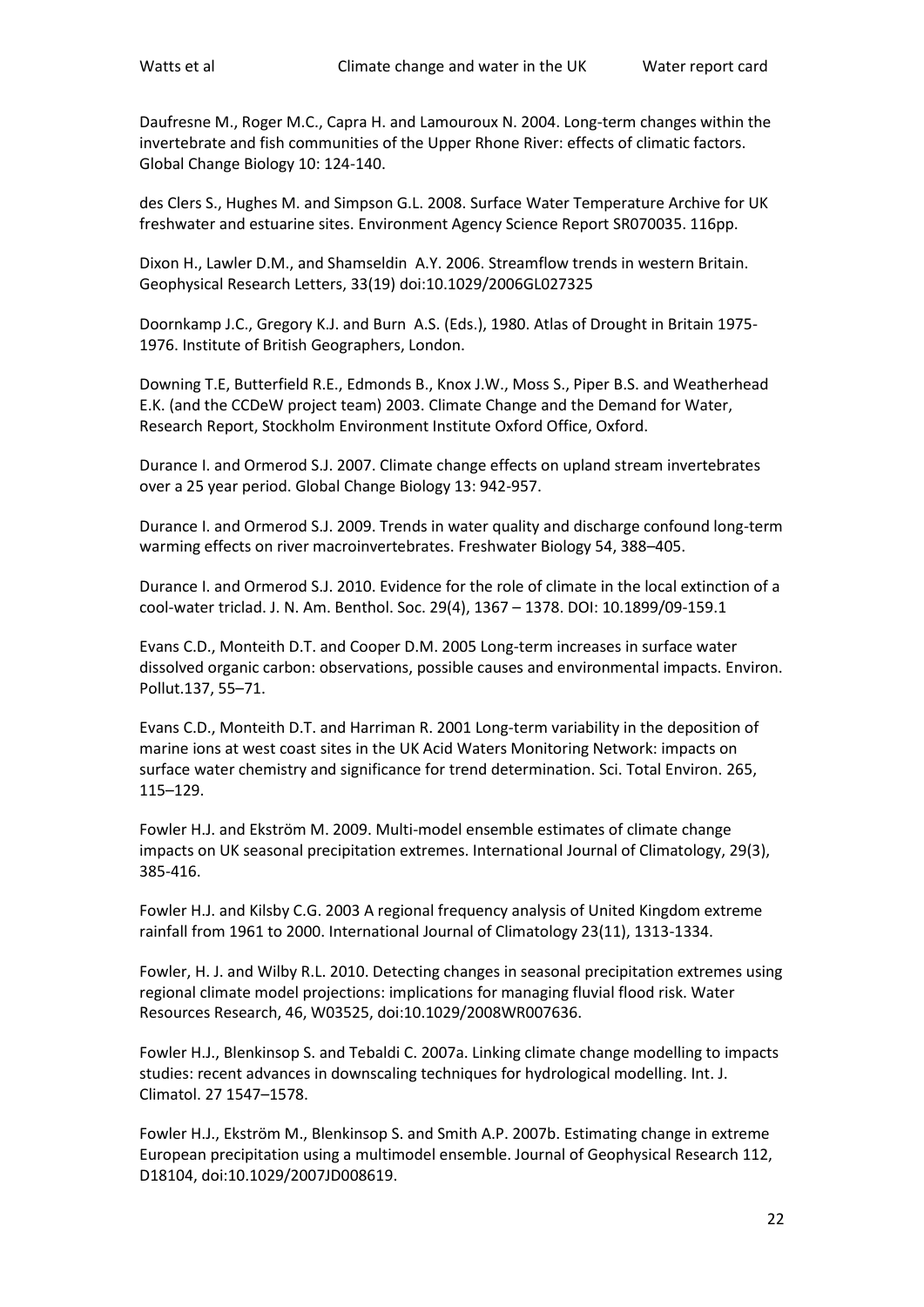Daufresne M., Roger M.C., Capra H. and Lamouroux N. 2004. Long-term changes within the invertebrate and fish communities of the Upper Rhone River: effects of climatic factors. Global Change Biology 10: 124-140.

des Clers S., Hughes M. and Simpson G.L. 2008. Surface Water Temperature Archive for UK freshwater and estuarine sites. Environment Agency Science Report SR070035. 116pp.

Dixon H., Lawler D.M., and Shamseldin A.Y. 2006. Streamflow trends in western Britain. Geophysical Research Letters, 33(19) doi:10.1029/2006GL027325

Doornkamp J.C., Gregory K.J. and Burn A.S. (Eds.), 1980. Atlas of Drought in Britain 1975- 1976. Institute of British Geographers, London.

Downing T.E, Butterfield R.E., Edmonds B., Knox J.W., Moss S., Piper B.S. and Weatherhead E.K. (and the CCDeW project team) 2003. Climate Change and the Demand for Water, Research Report, Stockholm Environment Institute Oxford Office, Oxford.

Durance I. and Ormerod S.J. 2007. Climate change effects on upland stream invertebrates over a 25 year period. Global Change Biology 13: 942-957.

Durance I. and Ormerod S.J. 2009. Trends in water quality and discharge confound long-term warming effects on river macroinvertebrates. Freshwater Biology 54, 388–405.

Durance I. and Ormerod S.J. 2010. Evidence for the role of climate in the local extinction of a cool-water triclad. J. N. Am. Benthol. Soc. 29(4), 1367 – 1378. DOI: 10.1899/09-159.1

Evans C.D., Monteith D.T. and Cooper D.M. 2005 Long-term increases in surface water dissolved organic carbon: observations, possible causes and environmental impacts. Environ. Pollut.137, 55–71.

Evans C.D., Monteith D.T. and Harriman R. 2001 Long-term variability in the deposition of marine ions at west coast sites in the UK Acid Waters Monitoring Network: impacts on surface water chemistry and significance for trend determination. Sci. Total Environ. 265, 115–129.

Fowler H.J. and Ekström M. 2009. Multi-model ensemble estimates of climate change impacts on UK seasonal precipitation extremes. International Journal of Climatology, 29(3), 385-416.

Fowler H.J. and Kilsby C.G. 2003 A regional frequency analysis of United Kingdom extreme rainfall from 1961 to 2000. International Journal of Climatology 23(11), 1313-1334.

Fowler, H. J. and Wilby R.L. 2010. Detecting changes in seasonal precipitation extremes using regional climate model projections: implications for managing fluvial flood risk. Water Resources Research, 46, W03525, doi:10.1029/2008WR007636.

Fowler H.J., Blenkinsop S. and Tebaldi C. 2007a. Linking climate change modelling to impacts studies: recent advances in downscaling techniques for hydrological modelling. Int. J. Climatol. 27 1547–1578.

Fowler H.J., Ekström M., Blenkinsop S. and Smith A.P. 2007b. Estimating change in extreme European precipitation using a multimodel ensemble. Journal of Geophysical Research 112, D18104, doi:10.1029/2007JD008619.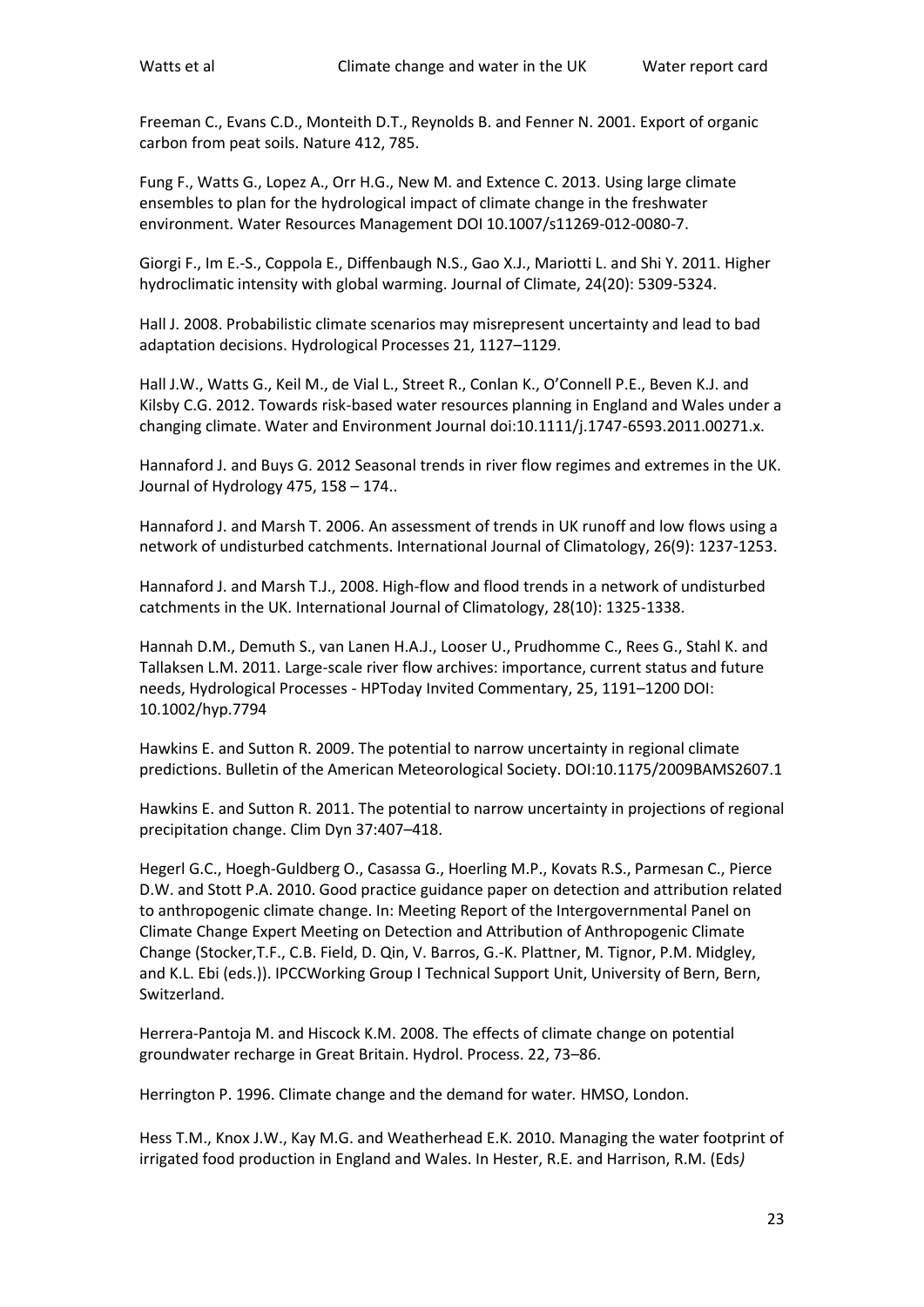Freeman C., Evans C.D., Monteith D.T., Reynolds B. and Fenner N. 2001. Export of organic carbon from peat soils. Nature 412, 785.

Fung F., Watts G., Lopez A., Orr H.G., New M. and Extence C. 2013. Using large climate ensembles to plan for the hydrological impact of climate change in the freshwater environment. Water Resources Management DOI 10.1007/s11269-012-0080-7.

Giorgi F., Im E.-S., Coppola E., Diffenbaugh N.S., Gao X.J., Mariotti L. and Shi Y. 2011. Higher hydroclimatic intensity with global warming. Journal of Climate, 24(20): 5309-5324.

Hall J. 2008. Probabilistic climate scenarios may misrepresent uncertainty and lead to bad adaptation decisions. Hydrological Processes 21, 1127–1129.

Hall J.W., Watts G., Keil M., de Vial L., Street R., Conlan K., O'Connell P.E., Beven K.J. and Kilsby C.G. 2012. Towards risk-based water resources planning in England and Wales under a changing climate. Water and Environment Journal doi:10.1111/j.1747-6593.2011.00271.x.

Hannaford J. and Buys G. 2012 Seasonal trends in river flow regimes and extremes in the UK. Journal of Hydrology 475, 158 – 174..

Hannaford J. and Marsh T. 2006. An assessment of trends in UK runoff and low flows using a network of undisturbed catchments. International Journal of Climatology, 26(9): 1237-1253.

Hannaford J. and Marsh T.J., 2008. High-flow and flood trends in a network of undisturbed catchments in the UK. International Journal of Climatology, 28(10): 1325-1338.

Hannah D.M., Demuth S., van Lanen H.A.J., Looser U., Prudhomme C., Rees G., Stahl K. and Tallaksen L.M. 2011. Large-scale river flow archives: importance, current status and future needs, Hydrological Processes - HPToday Invited Commentary, 25, 1191–1200 DOI: 10.1002/hyp.7794

Hawkins E. and Sutton R. 2009. The potential to narrow uncertainty in regional climate predictions. Bulletin of the American Meteorological Society. DOI:10.1175/2009BAMS2607.1

Hawkins E. and Sutton R. 2011. The potential to narrow uncertainty in projections of regional precipitation change. Clim Dyn 37:407–418.

Hegerl G.C., Hoegh-Guldberg O., Casassa G., Hoerling M.P., Kovats R.S., Parmesan C., Pierce D.W. and Stott P.A. 2010. Good practice guidance paper on detection and attribution related to anthropogenic climate change. In: Meeting Report of the Intergovernmental Panel on Climate Change Expert Meeting on Detection and Attribution of Anthropogenic Climate Change (Stocker,T.F., C.B. Field, D. Qin, V. Barros, G.-K. Plattner, M. Tignor, P.M. Midgley, and K.L. Ebi (eds.)). IPCCWorking Group I Technical Support Unit, University of Bern, Bern, Switzerland.

Herrera-Pantoja M. and Hiscock K.M. 2008. The effects of climate change on potential groundwater recharge in Great Britain. Hydrol. Process. 22, 73–86.

Herrington P. 1996. Climate change and the demand for water*.* HMSO, London.

Hess T.M., Knox J.W., Kay M.G. and Weatherhead E.K. 2010. Managing the water footprint of irrigated food production in England and Wales. In Hester, R.E. and Harrison, R.M. (Eds*)*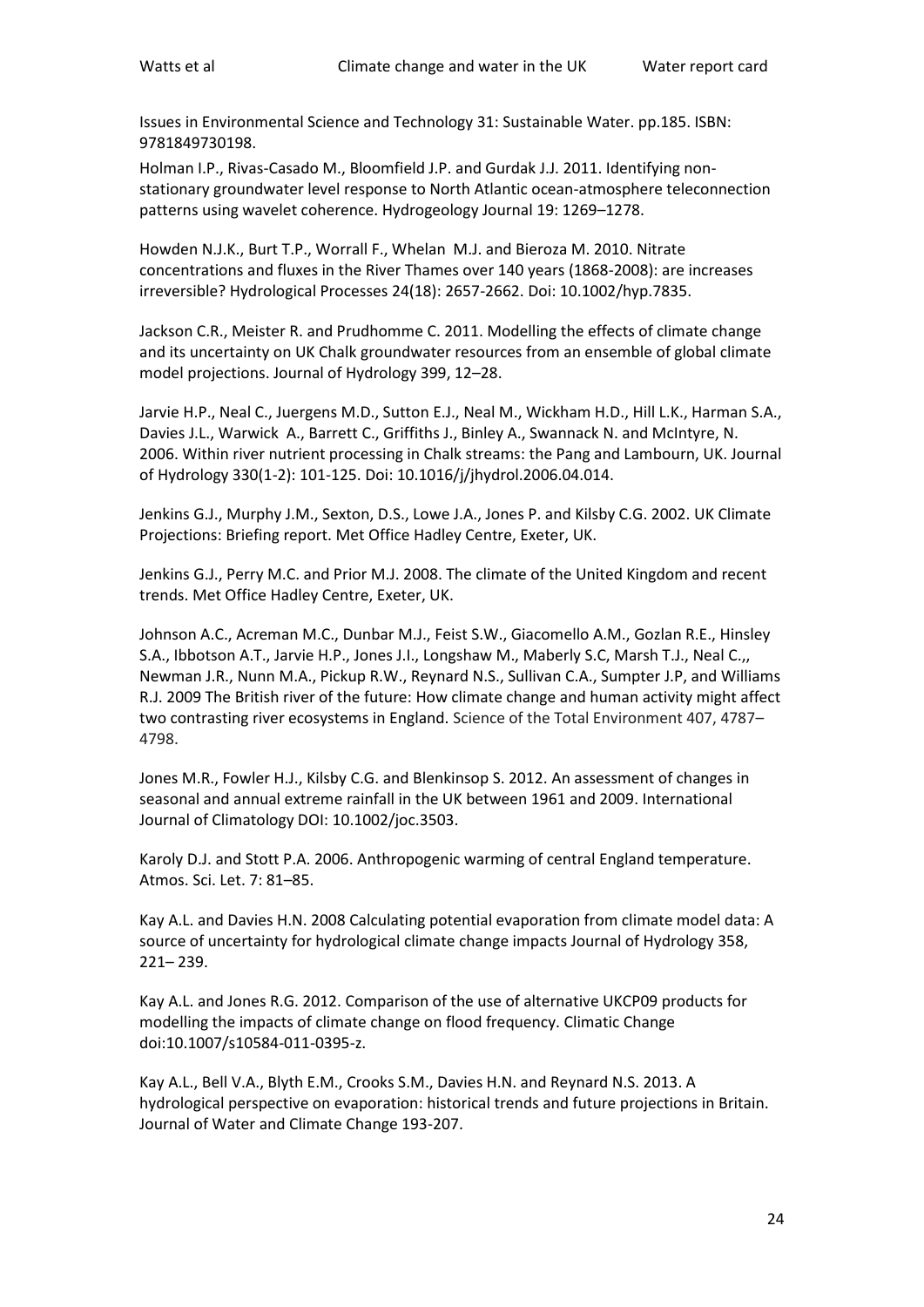Issues in Environmental Science and Technology 31: Sustainable Water. pp.185. ISBN: 9781849730198.

Holman I.P., Rivas-Casado M., Bloomfield J.P. and Gurdak J.J. 2011. Identifying nonstationary groundwater level response to North Atlantic ocean-atmosphere teleconnection patterns using wavelet coherence. Hydrogeology Journal 19: 1269–1278.

Howden N.J.K., Burt T.P., Worrall F., Whelan M.J. and Bieroza M. 2010. Nitrate concentrations and fluxes in the River Thames over 140 years (1868-2008): are increases irreversible? Hydrological Processes 24(18): 2657-2662. Doi: 10.1002/hyp.7835.

Jackson C.R., Meister R. and Prudhomme C. 2011. Modelling the effects of climate change and its uncertainty on UK Chalk groundwater resources from an ensemble of global climate model projections. Journal of Hydrology 399, 12–28.

Jarvie H.P., Neal C., Juergens M.D., Sutton E.J., Neal M., Wickham H.D., Hill L.K., Harman S.A., Davies J.L., Warwick A., Barrett C., Griffiths J., Binley A., Swannack N. and McIntyre, N. 2006. Within river nutrient processing in Chalk streams: the Pang and Lambourn, UK. Journal of Hydrology 330(1-2): 101-125. Doi: 10.1016/j/jhydrol.2006.04.014.

Jenkins G.J., Murphy J.M., Sexton, D.S., Lowe J.A., Jones P. and Kilsby C.G. 2002. UK Climate Projections: Briefing report. Met Office Hadley Centre, Exeter, UK.

Jenkins G.J., Perry M.C. and Prior M.J. 2008. The climate of the United Kingdom and recent trends. Met Office Hadley Centre, Exeter, UK.

Johnson A.C., Acreman M.C., Dunbar M.J., Feist S.W., Giacomello A.M., Gozlan R.E., Hinsley S.A., Ibbotson A.T., Jarvie H.P., Jones J.I., Longshaw M., Maberly S.C, Marsh T.J., Neal C.,, Newman J.R., Nunn M.A., Pickup R.W., Reynard N.S., Sullivan C.A., Sumpter J.P, and Williams R.J. 2009 The British river of the future: How climate change and human activity might affect two contrasting river ecosystems in England. Science of the Total Environment 407, 4787– 4798.

Jones M.R., Fowler H.J., Kilsby C.G. and Blenkinsop S. 2012. An assessment of changes in seasonal and annual extreme rainfall in the UK between 1961 and 2009. International Journal of Climatology DOI: 10.1002/joc.3503.

Karoly D.J. and Stott P.A. 2006. Anthropogenic warming of central England temperature. Atmos. Sci. Let. 7: 81–85.

Kay A.L. and Davies H.N. 2008 Calculating potential evaporation from climate model data: A source of uncertainty for hydrological climate change impacts Journal of Hydrology 358, 221– 239.

Kay A.L. and Jones R.G. 2012. Comparison of the use of alternative UKCP09 products for modelling the impacts of climate change on flood frequency. Climatic Change doi:10.1007/s10584-011-0395-z.

Kay A.L., Bell V.A., Blyth E.M., Crooks S.M., Davies H.N. and Reynard N.S. 2013. A hydrological perspective on evaporation: historical trends and future projections in Britain. Journal of Water and Climate Change 193-207.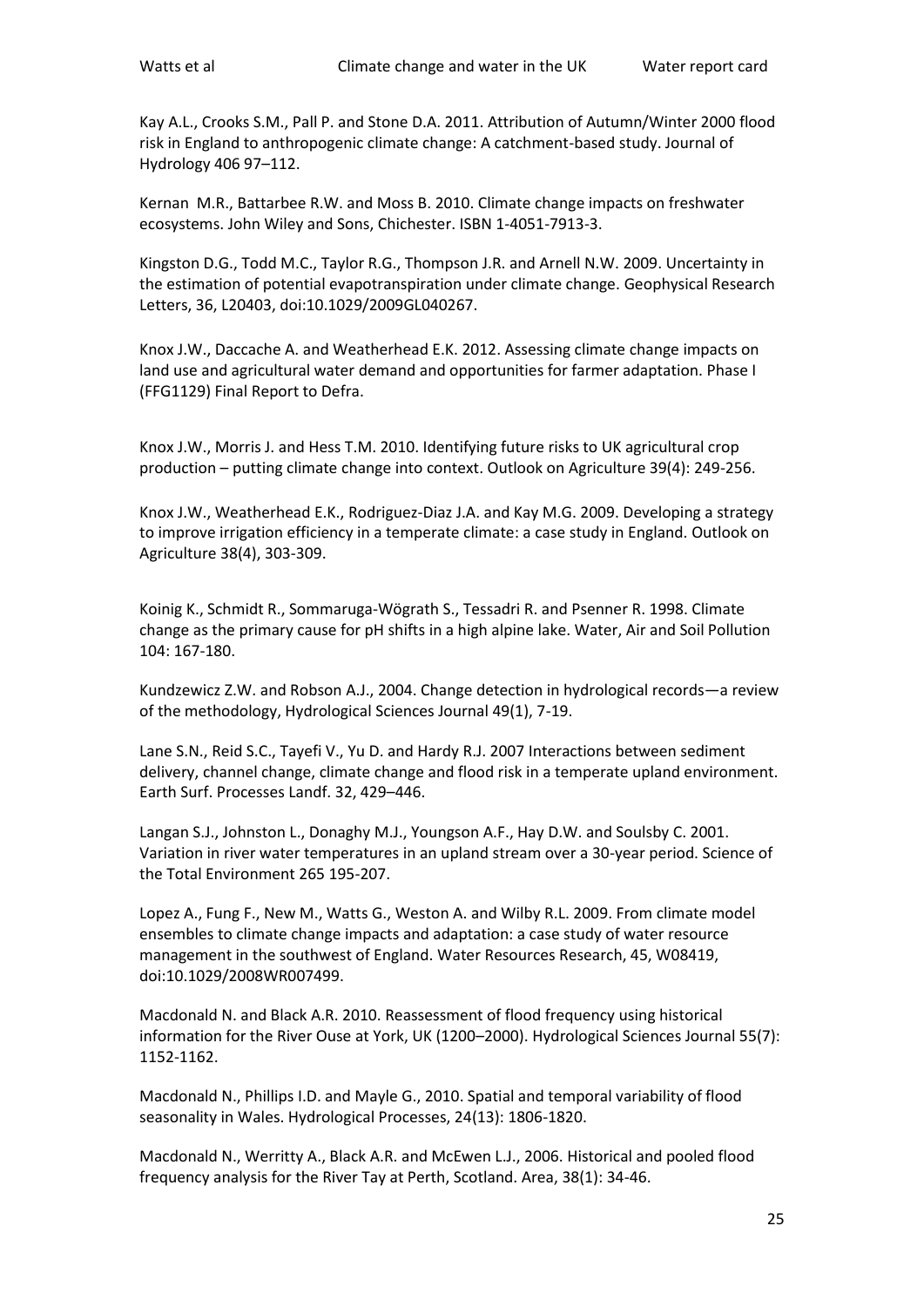Kay A.L., Crooks S.M., Pall P. and Stone D.A. 2011. Attribution of Autumn/Winter 2000 flood risk in England to anthropogenic climate change: A catchment-based study. Journal of Hydrology 406 97–112.

Kernan M.R., Battarbee R.W. and Moss B. 2010. Climate change impacts on freshwater ecosystems. John Wiley and Sons, Chichester. ISBN 1-4051-7913-3.

Kingston D.G., Todd M.C., Taylor R.G., Thompson J.R. and Arnell N.W. 2009. Uncertainty in the estimation of potential evapotranspiration under climate change. Geophysical Research Letters, 36, L20403, doi:10.1029/2009GL040267.

Knox J.W., Daccache A. and Weatherhead E.K. 2012. Assessing climate change impacts on land use and agricultural water demand and opportunities for farmer adaptation. Phase I (FFG1129) Final Report to Defra.

Knox J.W., Morris J. and Hess T.M. 2010. Identifying future risks to UK agricultural crop production – putting climate change into context. Outlook on Agriculture 39(4): 249-256.

Knox J.W., Weatherhead E.K., Rodriguez-Diaz J.A. and Kay M.G. 2009. Developing a strategy to improve irrigation efficiency in a temperate climate: a case study in England. Outlook on Agriculture 38(4), 303-309.

Koinig K., Schmidt R., Sommaruga-Wögrath S., Tessadri R. and Psenner R. 1998. Climate change as the primary cause for pH shifts in a high alpine lake. Water, Air and Soil Pollution 104: 167-180.

Kundzewicz Z.W. and Robson A.J., 2004. Change detection in hydrological records—a review of the methodology, Hydrological Sciences Journal 49(1), 7-19.

Lane S.N., Reid S.C., Tayefi V., Yu D. and Hardy R.J. 2007 Interactions between sediment delivery, channel change, climate change and flood risk in a temperate upland environment. Earth Surf. Processes Landf. 32, 429–446.

Langan S.J., Johnston L., Donaghy M.J., Youngson A.F., Hay D.W. and Soulsby C. 2001. Variation in river water temperatures in an upland stream over a 30-year period. Science of the Total Environment 265 195-207.

Lopez A., Fung F., New M., Watts G., Weston A. and Wilby R.L. 2009. From climate model ensembles to climate change impacts and adaptation: a case study of water resource management in the southwest of England. Water Resources Research, 45, W08419, doi:10.1029/2008WR007499.

Macdonald N. and Black A.R. 2010. Reassessment of flood frequency using historical information for the River Ouse at York, UK (1200–2000). Hydrological Sciences Journal 55(7): 1152-1162.

Macdonald N., Phillips I.D. and Mayle G., 2010. Spatial and temporal variability of flood seasonality in Wales. Hydrological Processes, 24(13): 1806-1820.

Macdonald N., Werritty A., Black A.R. and McEwen L.J., 2006. Historical and pooled flood frequency analysis for the River Tay at Perth, Scotland. Area, 38(1): 34-46.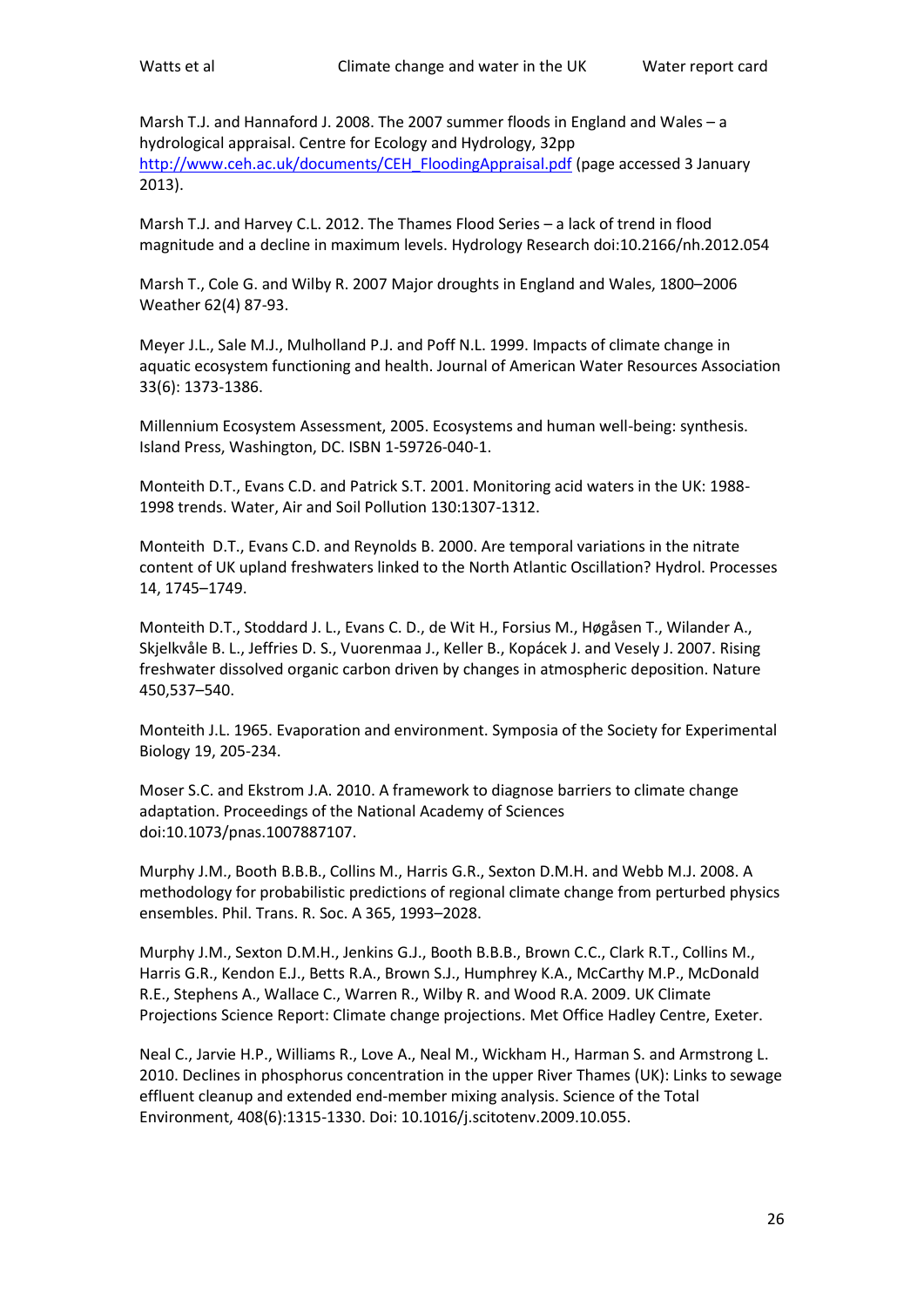Marsh T.J. and Hannaford J. 2008. The 2007 summer floods in England and Wales – a hydrological appraisal. Centre for Ecology and Hydrology, 32pp [http://www.ceh.ac.uk/documents/CEH\\_FloodingAppraisal.pdf](http://www.ceh.ac.uk/documents/CEH_FloodingAppraisal.pdf) (page accessed 3 January 2013).

Marsh T.J. and Harvey C.L. 2012. The Thames Flood Series – a lack of trend in flood magnitude and a decline in maximum levels. Hydrology Research doi:10.2166/nh.2012.054

Marsh T., Cole G. and Wilby R. 2007 Major droughts in England and Wales, 1800–2006 Weather 62(4) 87-93.

Meyer J.L., Sale M.J., Mulholland P.J. and Poff N.L. 1999. Impacts of climate change in aquatic ecosystem functioning and health. Journal of American Water Resources Association 33(6): 1373-1386.

Millennium Ecosystem Assessment, 2005. Ecosystems and human well-being: synthesis. Island Press, Washington, DC. ISBN 1-59726-040-1.

Monteith D.T., Evans C.D. and Patrick S.T. 2001. Monitoring acid waters in the UK: 1988- 1998 trends. Water, Air and Soil Pollution 130:1307-1312.

Monteith D.T., Evans C.D. and Reynolds B. 2000. Are temporal variations in the nitrate content of UK upland freshwaters linked to the North Atlantic Oscillation? Hydrol. Processes 14, 1745–1749.

Monteith D.T., Stoddard J. L., Evans C. D., de Wit H., Forsius M., Høgåsen T., Wilander A., Skjelkvåle B. L., Jeffries D. S., Vuorenmaa J., Keller B., Kopácek J. and Vesely J. 2007. Rising freshwater dissolved organic carbon driven by changes in atmospheric deposition. Nature 450,537–540.

Monteith J.L. 1965. Evaporation and environment. Symposia of the Society for Experimental Biology 19, 205-234.

Moser S.C. and Ekstrom J.A. 2010. A framework to diagnose barriers to climate change adaptation. Proceedings of the National Academy of Sciences doi:10.1073/pnas.1007887107.

Murphy J.M., Booth B.B.B., Collins M., Harris G.R., Sexton D.M.H. and Webb M.J. 2008. A methodology for probabilistic predictions of regional climate change from perturbed physics ensembles. Phil. Trans. R. Soc. A 365, 1993–2028.

Murphy J.M., Sexton D.M.H., Jenkins G.J., Booth B.B.B., Brown C.C., Clark R.T., Collins M., Harris G.R., Kendon E.J., Betts R.A., Brown S.J., Humphrey K.A., McCarthy M.P., McDonald R.E., Stephens A., Wallace C., Warren R., Wilby R. and Wood R.A. 2009. UK Climate Projections Science Report: Climate change projections. Met Office Hadley Centre, Exeter.

Neal C., Jarvie H.P., Williams R., Love A., Neal M., Wickham H., Harman S. and Armstrong L. 2010. Declines in phosphorus concentration in the upper River Thames (UK): Links to sewage effluent cleanup and extended end-member mixing analysis. Science of the Total Environment, 408(6):1315-1330. Doi: 10.1016/j.scitotenv.2009.10.055.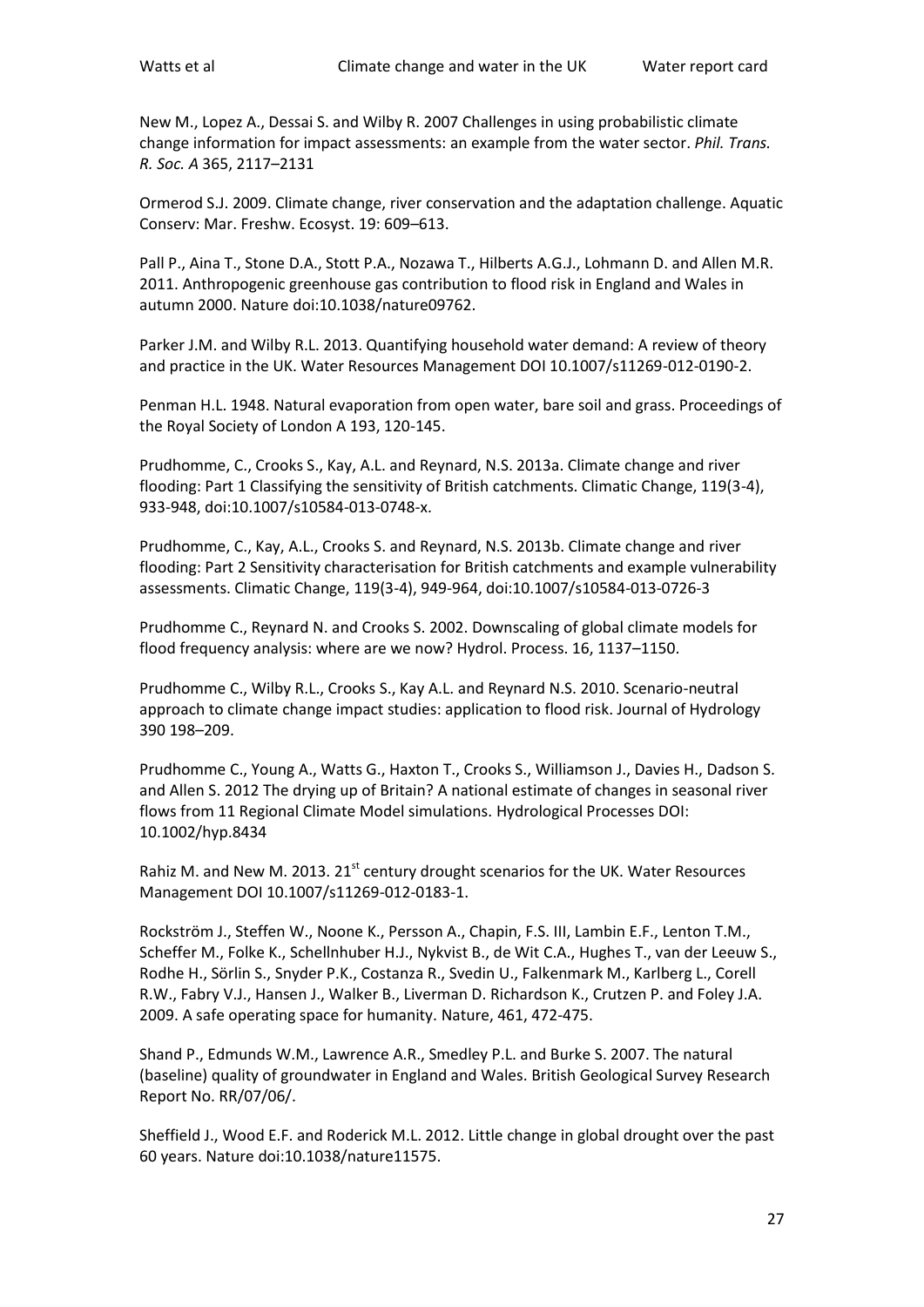New M., Lopez A., Dessai S. and Wilby R. 2007 Challenges in using probabilistic climate change information for impact assessments: an example from the water sector. *Phil. Trans. R. Soc. A* 365, 2117–2131

Ormerod S.J. 2009. Climate change, river conservation and the adaptation challenge. Aquatic Conserv: Mar. Freshw. Ecosyst. 19: 609–613.

Pall P., Aina T., Stone D.A., Stott P.A., Nozawa T., Hilberts A.G.J., Lohmann D. and Allen M.R. 2011. Anthropogenic greenhouse gas contribution to flood risk in England and Wales in autumn 2000. Nature doi:10.1038/nature09762.

Parker J.M. and Wilby R.L. 2013. Quantifying household water demand: A review of theory and practice in the UK. Water Resources Management DOI 10.1007/s11269-012-0190-2.

Penman H.L. 1948. Natural evaporation from open water, bare soil and grass. Proceedings of the Royal Society of London A 193, 120-145.

Prudhomme, C., Crooks S., Kay, A.L. and Reynard, N.S. 2013a. Climate change and river flooding: Part 1 Classifying the sensitivity of British catchments. Climatic Change, 119(3-4), 933-948, doi:10.1007/s10584-013-0748-x.

Prudhomme, C., Kay, A.L., Crooks S. and Reynard, N.S. 2013b. Climate change and river flooding: Part 2 Sensitivity characterisation for British catchments and example vulnerability assessments. Climatic Change, 119(3-4), 949-964, doi:10.1007/s10584-013-0726-3

Prudhomme C., Reynard N. and Crooks S. 2002. Downscaling of global climate models for flood frequency analysis: where are we now? Hydrol. Process. 16, 1137–1150.

Prudhomme C., Wilby R.L., Crooks S., Kay A.L. and Reynard N.S. 2010. Scenario-neutral approach to climate change impact studies: application to flood risk. Journal of Hydrology 390 198–209.

Prudhomme C., Young A., Watts G., Haxton T., Crooks S., Williamson J., Davies H., Dadson S. and Allen S. 2012 The drying up of Britain? A national estimate of changes in seasonal river flows from 11 Regional Climate Model simulations. Hydrological Processes DOI: 10.1002/hyp.8434

Rahiz M. and New M. 2013. 21<sup>st</sup> century drought scenarios for the UK. Water Resources Management DOI 10.1007/s11269-012-0183-1.

Rockström J., Steffen W., Noone K., Persson A., Chapin, F.S. III, Lambin E.F., Lenton T.M., Scheffer M., Folke K., Schellnhuber H.J., Nykvist B., de Wit C.A., Hughes T., van der Leeuw S., Rodhe H., Sӧrlin S., Snyder P.K., Costanza R., Svedin U., Falkenmark M., Karlberg L., Corell R.W., Fabry V.J., Hansen J., Walker B., Liverman D. Richardson K., Crutzen P. and Foley J.A. 2009. A safe operating space for humanity. Nature, 461, 472-475.

Shand P., Edmunds W.M., Lawrence A.R., Smedley P.L. and Burke S. 2007. The natural (baseline) quality of groundwater in England and Wales. British Geological Survey Research Report No. RR/07/06/.

Sheffield J., Wood E.F. and Roderick M.L. 2012. Little change in global drought over the past 60 years. Nature doi:10.1038/nature11575.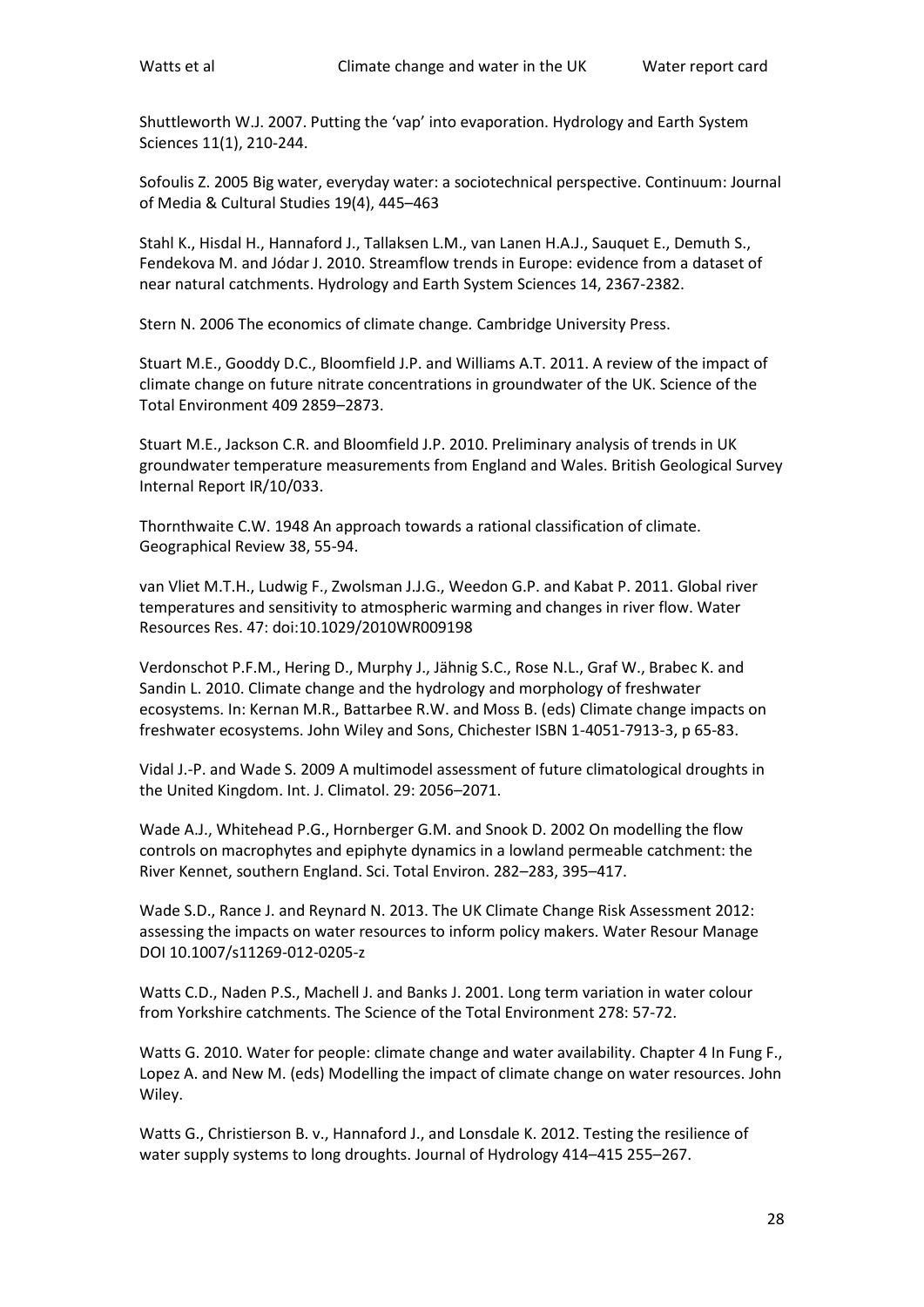Shuttleworth W.J. 2007. Putting the 'vap' into evaporation. Hydrology and Earth System Sciences 11(1), 210-244.

Sofoulis Z. 2005 Big water, everyday water: a sociotechnical perspective. Continuum: Journal of Media & Cultural Studies 19(4), 445–463

Stahl K., Hisdal H., Hannaford J., Tallaksen L.M., van Lanen H.A.J., Sauquet E., Demuth S., Fendekova M. and Jódar J. 2010. Streamflow trends in Europe: evidence from a dataset of near natural catchments. Hydrology and Earth System Sciences 14, 2367-2382.

Stern N. 2006 The economics of climate change*.* Cambridge University Press.

Stuart M.E., Gooddy D.C., Bloomfield J.P. and Williams A.T. 2011. A review of the impact of climate change on future nitrate concentrations in groundwater of the UK. Science of the Total Environment 409 2859–2873.

Stuart M.E., Jackson C.R. and Bloomfield J.P. 2010. Preliminary analysis of trends in UK groundwater temperature measurements from England and Wales. British Geological Survey Internal Report IR/10/033.

Thornthwaite C.W. 1948 An approach towards a rational classification of climate. Geographical Review 38, 55-94.

van Vliet M.T.H., Ludwig F., Zwolsman J.J.G., Weedon G.P. and Kabat P. 2011. Global river temperatures and sensitivity to atmospheric warming and changes in river flow. Water Resources Res. 47: doi:10.1029/2010WR009198

Verdonschot P.F.M., Hering D., Murphy J., Jähnig S.C., Rose N.L., Graf W., Brabec K. and Sandin L. 2010. Climate change and the hydrology and morphology of freshwater ecosystems. In: Kernan M.R., Battarbee R.W. and Moss B. (eds) Climate change impacts on freshwater ecosystems. John Wiley and Sons, Chichester ISBN 1-4051-7913-3, p 65-83.

Vidal J.-P. and Wade S. 2009 A multimodel assessment of future climatological droughts in the United Kingdom. Int. J. Climatol. 29: 2056–2071.

Wade A.J., Whitehead P.G., Hornberger G.M. and Snook D. 2002 On modelling the flow controls on macrophytes and epiphyte dynamics in a lowland permeable catchment: the River Kennet, southern England. Sci. Total Environ. 282–283, 395–417.

Wade S.D., Rance J. and Reynard N. 2013. The UK Climate Change Risk Assessment 2012: assessing the impacts on water resources to inform policy makers. Water Resour Manage DOI 10.1007/s11269-012-0205-z

Watts C.D., Naden P.S., Machell J. and Banks J. 2001. Long term variation in water colour from Yorkshire catchments. The Science of the Total Environment 278: 57-72.

Watts G. 2010. Water for people: climate change and water availability. Chapter 4 In Fung F., Lopez A. and New M. (eds) Modelling the impact of climate change on water resources. John Wiley.

Watts G., Christierson B. v., Hannaford J., and Lonsdale K. 2012. Testing the resilience of water supply systems to long droughts. Journal of Hydrology 414–415 255–267.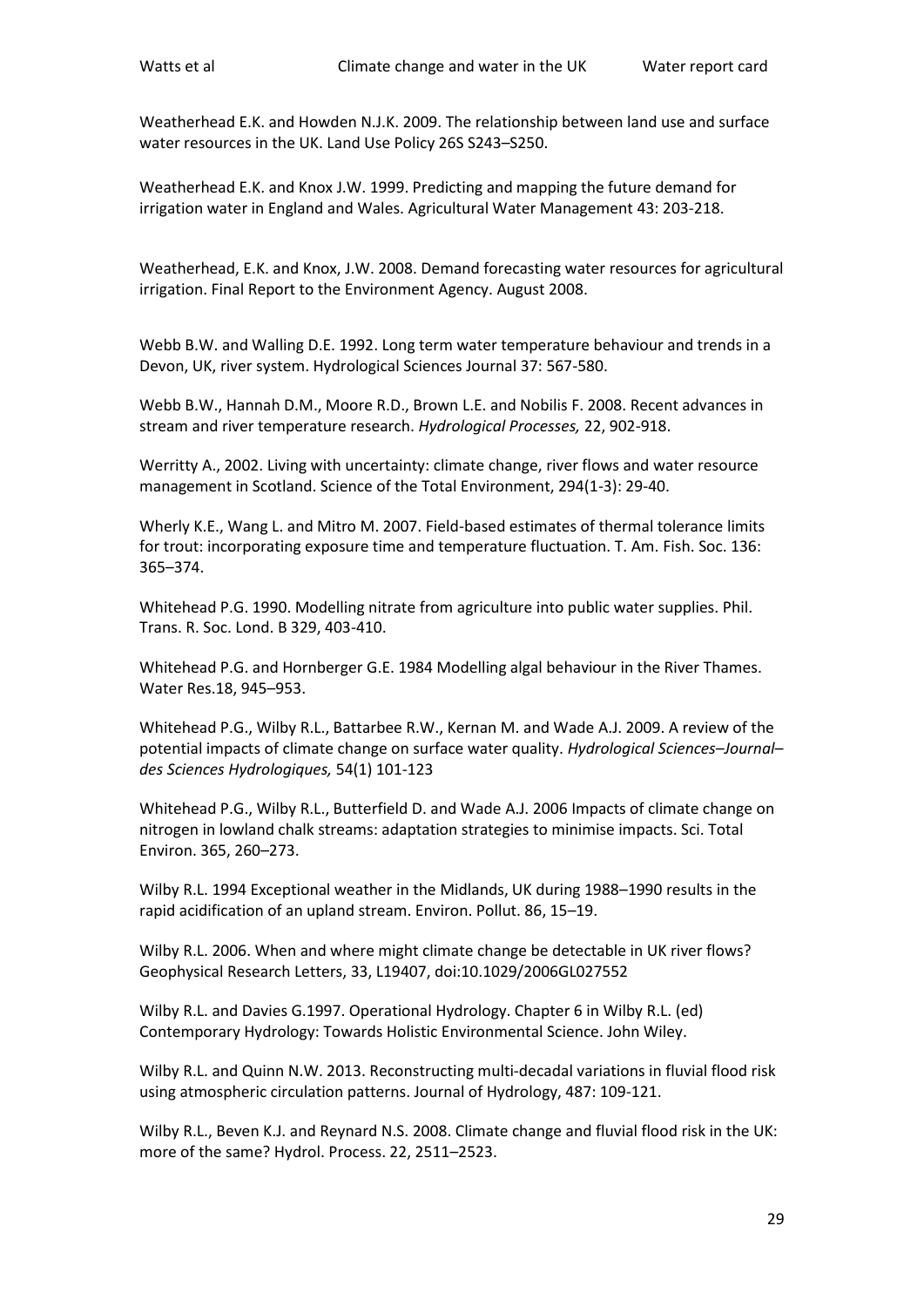Weatherhead E.K. and Howden N.J.K. 2009. The relationship between land use and surface water resources in the UK. Land Use Policy 26S S243–S250.

Weatherhead E.K. and Knox J.W. 1999. Predicting and mapping the future demand for irrigation water in England and Wales. Agricultural Water Management 43: 203-218.

Weatherhead, E.K. and Knox, J.W. 2008. Demand forecasting water resources for agricultural irrigation. Final Report to the Environment Agency. August 2008.

Webb B.W. and Walling D.E. 1992. Long term water temperature behaviour and trends in a Devon, UK, river system. Hydrological Sciences Journal 37: 567-580.

Webb B.W., Hannah D.M., Moore R.D., Brown L.E. and Nobilis F. 2008. Recent advances in stream and river temperature research. *Hydrological Processes,* 22, 902-918.

Werritty A., 2002. Living with uncertainty: climate change, river flows and water resource management in Scotland. Science of the Total Environment, 294(1-3): 29-40.

Wherly K.E., Wang L. and Mitro M. 2007. Field-based estimates of thermal tolerance limits for trout: incorporating exposure time and temperature fluctuation. T. Am. Fish. Soc. 136: 365–374.

Whitehead P.G. 1990. Modelling nitrate from agriculture into public water supplies. Phil. Trans. R. Soc. Lond. B 329, 403-410.

Whitehead P.G. and Hornberger G.E. 1984 Modelling algal behaviour in the River Thames. Water Res.18, 945–953.

Whitehead P.G., Wilby R.L., Battarbee R.W., Kernan M. and Wade A.J. 2009. A review of the potential impacts of climate change on surface water quality. *Hydrological Sciences–Journal– des Sciences Hydrologiques,* 54(1) 101-123

Whitehead P.G., Wilby R.L., Butterfield D. and Wade A.J. 2006 Impacts of climate change on nitrogen in lowland chalk streams: adaptation strategies to minimise impacts. Sci. Total Environ. 365, 260–273.

Wilby R.L. 1994 Exceptional weather in the Midlands, UK during 1988–1990 results in the rapid acidification of an upland stream. Environ. Pollut. 86, 15–19.

Wilby R.L. 2006. When and where might climate change be detectable in UK river flows? Geophysical Research Letters, 33, L19407, doi:10.1029/2006GL027552

Wilby R.L. and Davies G.1997. Operational Hydrology. Chapter 6 in Wilby R.L. (ed) Contemporary Hydrology: Towards Holistic Environmental Science. John Wiley.

Wilby R.L. and Quinn N.W. 2013. Reconstructing multi-decadal variations in fluvial flood risk using atmospheric circulation patterns. Journal of Hydrology, 487: 109-121.

Wilby R.L., Beven K.J. and Reynard N.S. 2008. Climate change and fluvial flood risk in the UK: more of the same? Hydrol. Process. 22, 2511–2523.